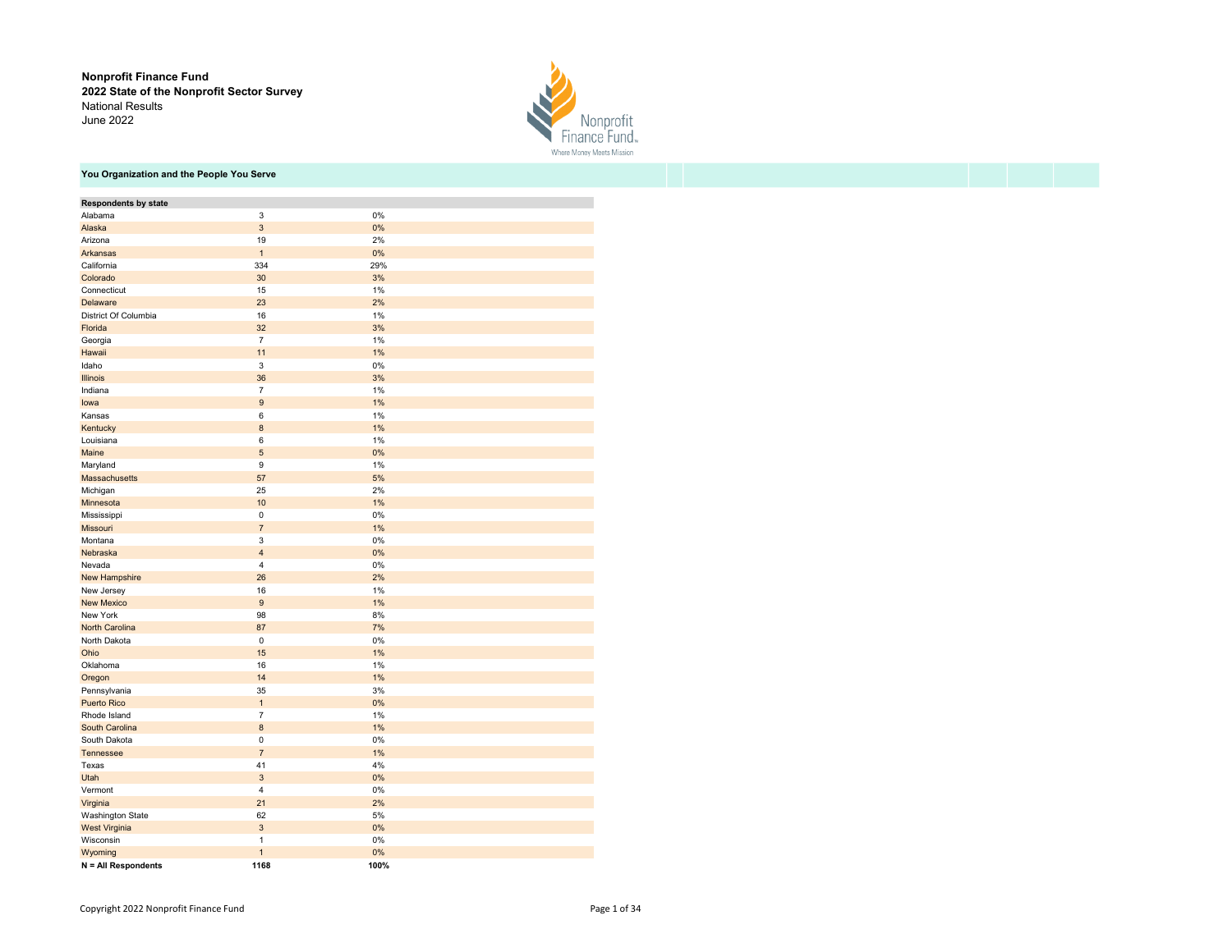Nonprofit Finance Fund 2022 State of the Nonprofit Sector Survey National Results June 2022



# You Organization and the People You Serve

| <b>Respondents by state</b> |                         |          |
|-----------------------------|-------------------------|----------|
| Alabama                     | 3                       | 0%       |
| Alaska                      | 3                       | 0%       |
| Arizona                     | 19                      | 2%       |
| Arkansas                    | $\mathbf{1}$            | 0%       |
| California                  | 334                     | 29%      |
| Colorado                    | 30                      | 3%       |
| Connecticut                 | 15                      | 1%       |
| Delaware                    | 23                      | 2%       |
| District Of Columbia        | 16                      | 1%       |
| Florida                     | 32                      | 3%       |
| Georgia                     | $\overline{7}$          | 1%       |
| Hawaii                      | 11                      | 1%       |
| Idaho                       | 3                       | 0%       |
| Illinois                    | 36                      | 3%       |
| Indiana                     | $\overline{7}$          | 1%       |
| lowa                        | 9                       | 1%       |
| Kansas                      | 6                       | 1%       |
| Kentucky                    | 8                       | 1%       |
| Louisiana                   | 6                       | 1%       |
| Maine                       | 5                       | 0%       |
| Maryland                    | 9                       | 1%       |
| Massachusetts               | 57                      | 5%       |
| Michigan                    | 25                      | 2%       |
| Minnesota                   | 10                      | 1%       |
| Mississippi                 | $\pmb{0}$               | 0%       |
| <b>Missouri</b>             | 7                       | 1%       |
| Montana                     | 3                       | 0%       |
| Nebraska                    | $\overline{\mathbf{4}}$ | 0%       |
| Nevada                      | 4                       | 0%       |
| New Hampshire               | 26                      | 2%       |
| New Jersey                  | 16                      | 1%       |
| <b>New Mexico</b>           | $9\,$                   | 1%       |
| New York                    | 98                      | 8%       |
| North Carolina              | 87                      | 7%       |
| North Dakota                | $\mathsf 0$             | 0%       |
| Ohio                        | 15                      | 1%       |
| Oklahoma                    | 16                      | 1%       |
| Oregon                      | 14                      | 1%       |
| Pennsylvania                | 35                      | 3%       |
| <b>Puerto Rico</b>          | $\mathbf{1}$            | 0%       |
| Rhode Island                | $\overline{7}$          | 1%       |
| South Carolina              | 8                       | 1%       |
| South Dakota                | $\mathsf 0$             | 0%       |
| Tennessee                   | $\overline{7}$          | 1%       |
| Texas                       | 41                      | 4%       |
| Utah                        | 3                       | 0%       |
| Vermont                     | $\overline{4}$          | 0%       |
| Virginia                    | 21                      | 2%       |
| <b>Washington State</b>     | 62                      | 5%       |
| West Virginia               | 3<br>1                  | 0%       |
| Wisconsin<br>Wyoming        | $\mathbf{1}$            | 0%<br>0% |
| N = All Respondents         | 1168                    | 100%     |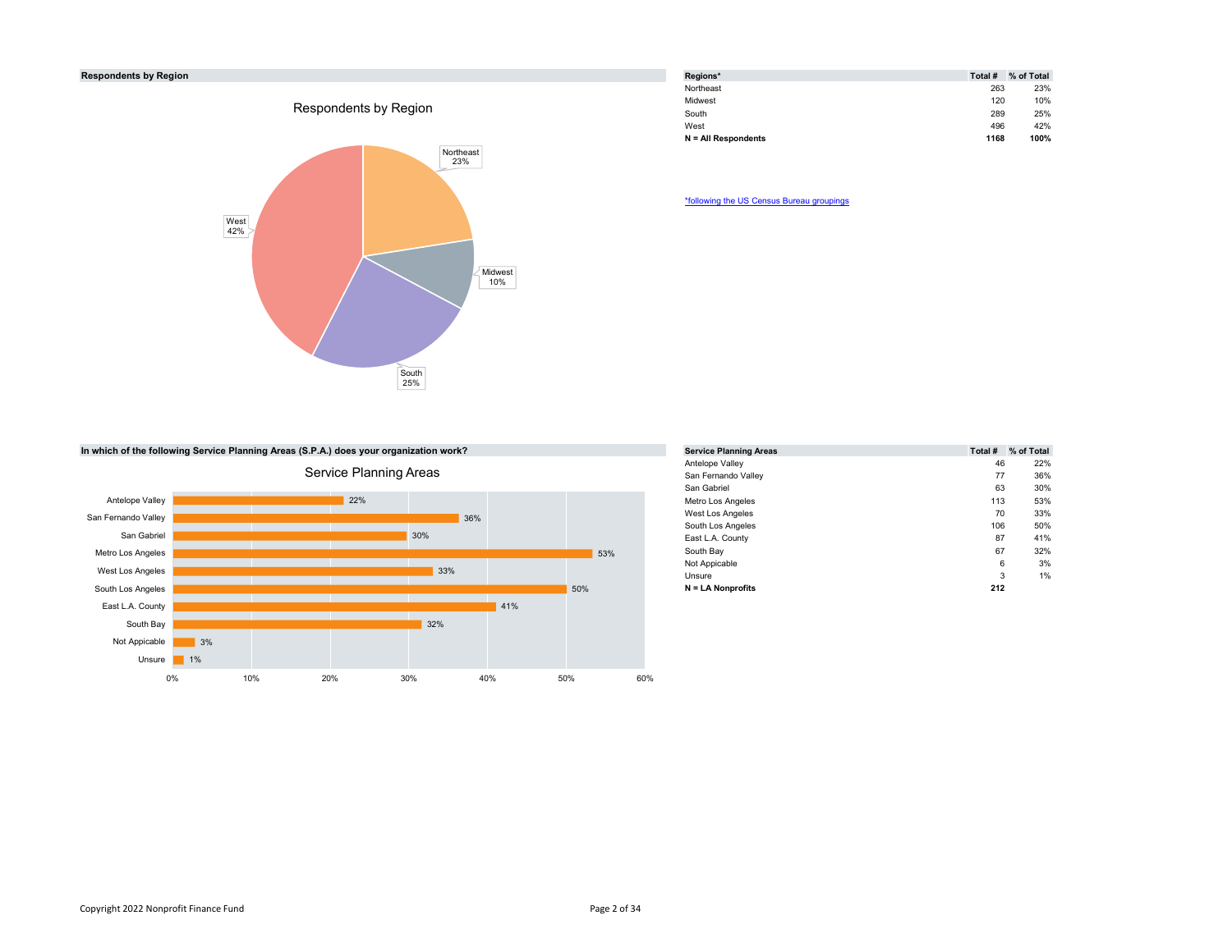# Respondents by Region



| Regions*              | Total # | % of Total |
|-----------------------|---------|------------|
| Northeast             | 263     | 23%        |
| Midwest               | 120     | 10%        |
| South                 | 289     | 25%        |
| West                  | 496     | 42%        |
| $N = All Respondents$ | 1168    | 100%       |

\*following the US Census Bureau groupings

In which of the following Service Planning Areas (S.P.A.) does your organization work?



| s your organization work? |     |     |     | <b>Service Planning Areas</b> |     | Total # % of Total |
|---------------------------|-----|-----|-----|-------------------------------|-----|--------------------|
|                           |     |     |     | Antelope Valley               | 46  | 22%                |
| <b>Planning Areas</b>     |     |     |     | San Fernando Valley           | 77  | 36%                |
|                           |     |     |     | San Gabriel                   | 63  | 30%                |
| 22%                       |     |     |     | Metro Los Angeles             | 113 | 53%                |
|                           |     | 36% |     | West Los Angeles              | 70  | 33%                |
|                           |     |     |     | South Los Angeles             | 106 | 50%                |
|                           | 30% |     |     | East L.A. County              | 87  | 41%                |
|                           |     |     | 53% | South Bay                     | 67  | 32%                |
|                           |     |     |     | Not Appicable                 | 6   | 3%                 |
|                           | 33% |     |     | Unsure                        | 3   | 1%                 |
|                           |     |     | 50% | $N = LA Nonprofits$           | 212 |                    |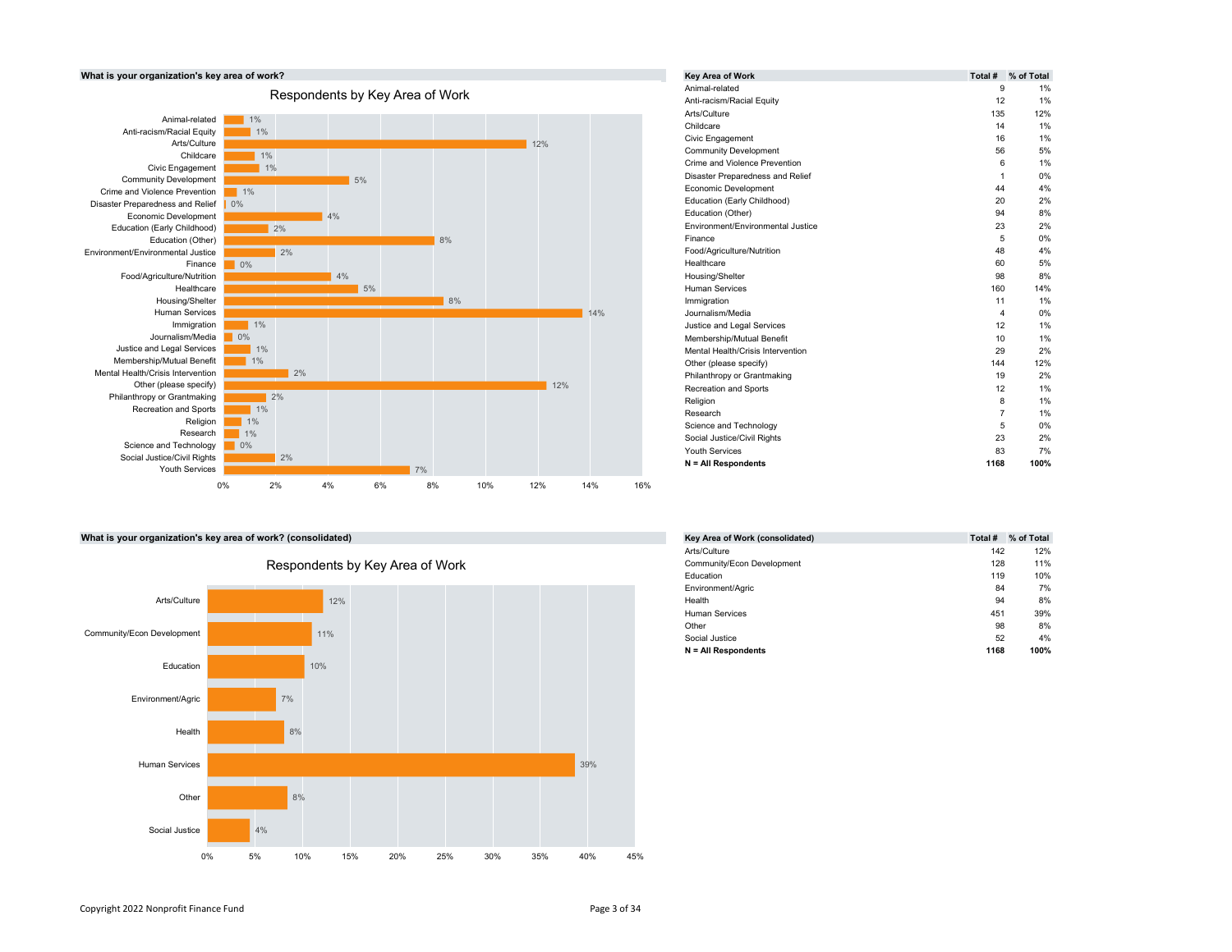

|     | Key Area of Work                  | Total #        | % of Total |
|-----|-----------------------------------|----------------|------------|
|     | Animal-related                    | 9              | 1%         |
|     | Anti-racism/Racial Equity         | 12             | 1%         |
|     | Arts/Culture                      | 135            | 12%        |
|     | Childcare                         | 14             | 1%         |
| 12% | Civic Engagement                  | 16             | 1%         |
|     | <b>Community Development</b>      | 56             | 5%         |
|     | Crime and Violence Prevention     | 6              | 1%         |
|     | Disaster Preparedness and Relief  | 1              | 0%         |
|     | Economic Development              | 44             | 4%         |
|     | Education (Early Childhood)       | 20             | 2%         |
|     | Education (Other)                 | 94             | 8%         |
|     | Environment/Environmental Justice | 23             | 2%         |
|     | Finance                           | 5              | 0%         |
|     | Food/Agriculture/Nutrition        | 48             | 4%         |
|     | Healthcare                        | 60             | 5%         |
|     | Housing/Shelter                   | 98             | 8%         |
|     | <b>Human Services</b>             | 160            | 14%        |
|     | Immigration                       | 11             | 1%         |
| 14% | Journalism/Media                  | 4              | 0%         |
|     | Justice and Legal Services        | 12             | 1%         |
|     | Membership/Mutual Benefit         | 10             | 1%         |
|     | Mental Health/Crisis Intervention | 29             | 2%         |
|     | Other (please specify)            | 144            | 12%        |
|     | Philanthropy or Grantmaking       | 19             | 2%         |
| 12% | Recreation and Sports             | 12             | 1%         |
|     | Religion                          | 8              | 1%         |
|     | Research                          | $\overline{7}$ | 1%         |
|     | Science and Technology            | 5              | 0%         |
|     | Social Justice/Civil Rights       | 23             | 2%         |
|     | <b>Youth Services</b>             | 83             | 7%         |
|     | $N = All Respondents$             | 1168           | 100%       |

# What is your organization's key area of work? (consolidated)



# Respondents by Key Area of Work

| ated)                   | Key Area of Work (consolidated) | Total # % of Total |
|-------------------------|---------------------------------|--------------------|
|                         | Arts/Culture                    | 142<br>12%         |
| าts by Key Area of Work | Community/Econ Development      | 128<br>11%         |
|                         | Education                       | 119<br>10%         |
|                         | Environment/Agric               | 84<br>7%           |
| 12%                     | Health                          | 94<br>8%           |
|                         | <b>Human Services</b>           | 451<br>39%         |
|                         | Other                           | 98<br>8%           |
| $\frac{1}{2}$           | Social Justice                  | 52<br>4%           |
|                         | $N = All$ Respondents           | 1168<br>100%       |
|                         |                                 |                    |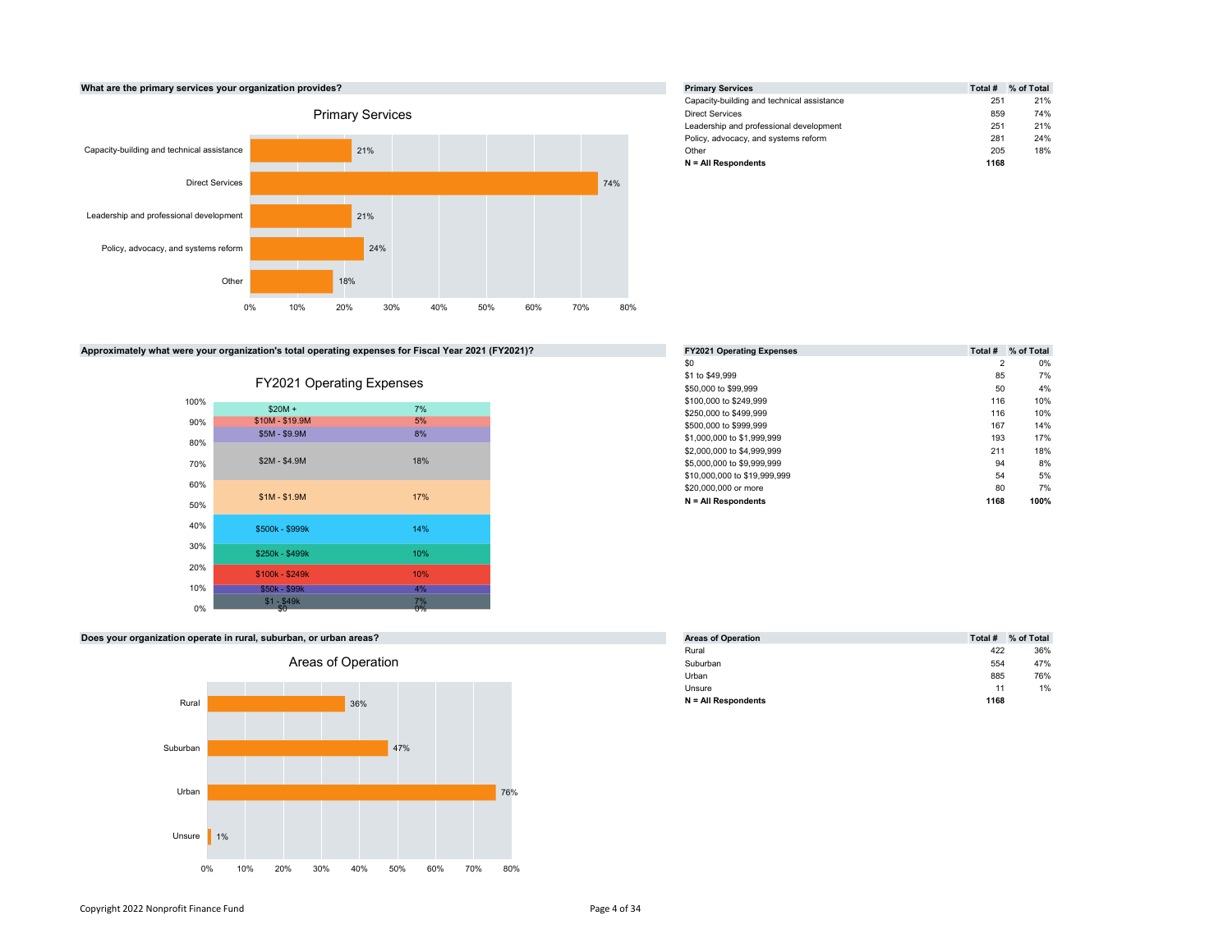

# Approximately what were your organization's total operating expenses for Fiscal Year 2021 (FY2021)?



| FY2021 Operating Expenses |
|---------------------------|
|---------------------------|

| <b>Primary Services</b>                    | Total # | % of Total |
|--------------------------------------------|---------|------------|
| Capacity-building and technical assistance | 251     | 21%        |
| <b>Direct Services</b>                     | 859     | 74%        |
| Leadership and professional development    | 251     | 21%        |
| Policy, advocacy, and systems reform       | 281     | 24%        |
| Other                                      | 205     | 18%        |
| $N = All Respondents$                      | 1168    |            |

| <b>FY2021 Operating Expenses</b> | Total #        | % of Total |
|----------------------------------|----------------|------------|
| \$0                              | $\overline{2}$ | 0%         |
| \$1 to \$49.999                  | 85             | 7%         |
| \$50,000 to \$99,999             | 50             | 4%         |
| \$100,000 to \$249,999           | 116            | 10%        |
| \$250,000 to \$499,999           | 116            | 10%        |
| \$500,000 to \$999.999           | 167            | 14%        |
| \$1,000,000 to \$1,999,999       | 193            | 17%        |
| \$2,000,000 to \$4,999,999       | 211            | 18%        |
| \$5,000,000 to \$9,999,999       | 94             | 8%         |
| \$10,000,000 to \$19,999,999     | 54             | 5%         |
| \$20,000,000 or more             | 80             | 7%         |
| $N = All Respondents$            | 1168           | 100%       |

# Does your organization operate in rural, suburban, or urban areas?



| <b>Areas of Operation</b> | Total # | % of Total |
|---------------------------|---------|------------|
| Rural                     | 422     | 36%        |
| Suburban                  | 554     | 47%        |
| Urban                     | 885     | 76%        |
| Unsure                    | 11      | 1%         |
| $N = All Respondents$     | 1168    |            |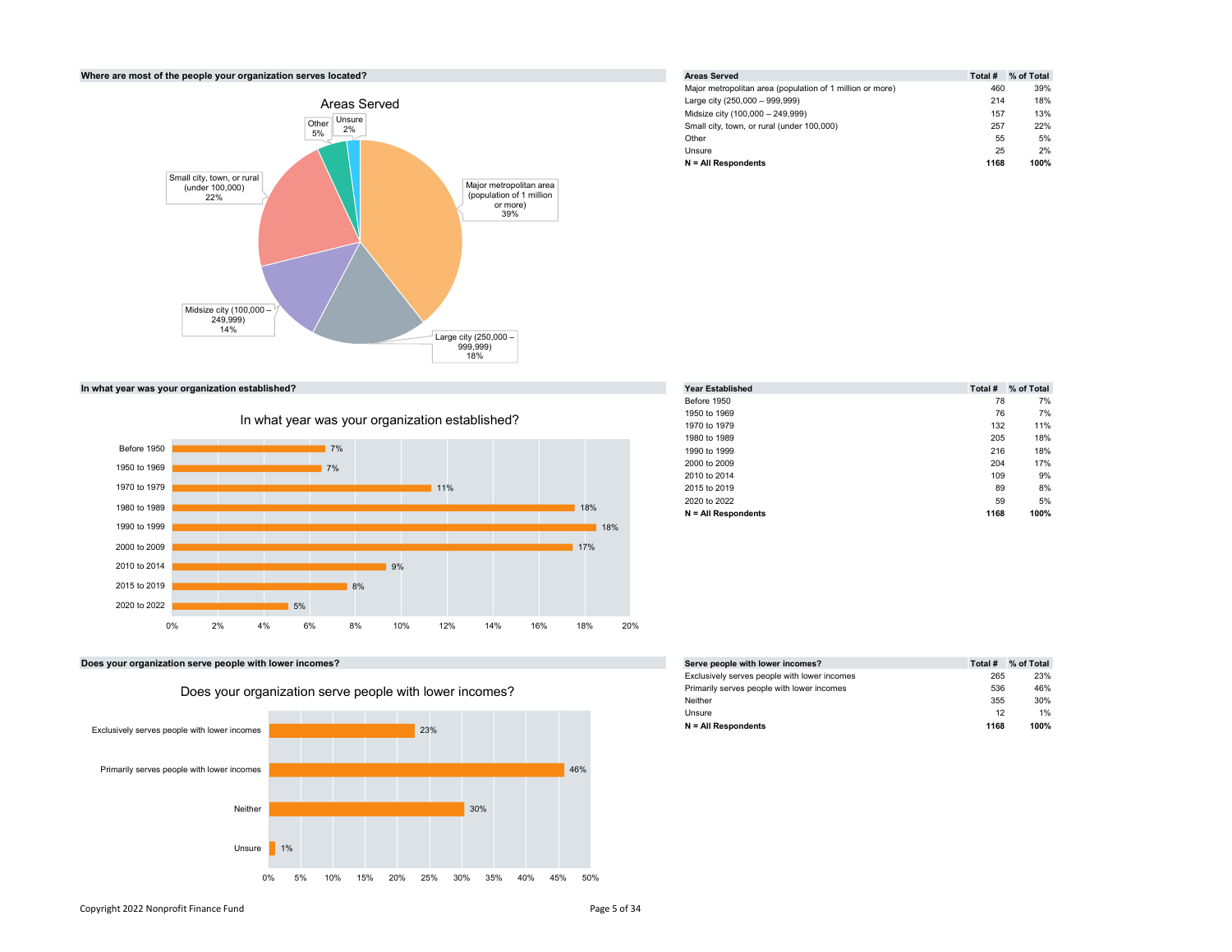

Where are most of the people your organization serves located? Areas Served Areas Served Total # % of Total # % of Total # % of Total # % of Total # % of Total #  $\frac{1}{2}$ Major metropolitan area (population of 1 million or more) 460 39% Large city (250,000 – 999,999) 214 18% Midsize city (100,000 – 249,999) 157 13% Small city, town, or rural (under 100,000) 257 22% 2% Other 55 5% Unsure 25 2%  $N = All$  Respondents 1168 100%



| In what year was your organization established? |     | <b>Year Established</b> |      | Total # % of Total |
|-------------------------------------------------|-----|-------------------------|------|--------------------|
|                                                 |     | Before 1950             | 78   | 7%                 |
|                                                 |     | 1950 to 1969            | 76   | 7%                 |
| In what year was your organization established? |     | 1970 to 1979            | 132  | 11%                |
|                                                 |     | 1980 to 1989            | 205  | 18%                |
| Before 1950<br>7%                               |     | 1990 to 1999            | 216  | 18%                |
| 1950 to 1969<br>17%                             |     | 2000 to 2009            | 204  | 17%                |
|                                                 |     | 2010 to 2014            | 109  | 9%                 |
| 1970 to 1979<br>11%                             |     | 2015 to 2019            | 89   | 8%                 |
|                                                 |     | 2020 to 2022            | 59   | 5%                 |
| 1980 to 1989                                    | 18% | $N = All$ Respondents   | 1168 | 100%               |
| .                                               |     |                         |      |                    |

Does your organization serve people with lower incomes?



|  |  | Does vour organization serve people with lower incomes? |  |
|--|--|---------------------------------------------------------|--|
|  |  |                                                         |  |

| Serve people with lower incomes?             | Total # | % of Total |
|----------------------------------------------|---------|------------|
| Exclusively serves people with lower incomes | 265     | 23%        |
| Primarily serves people with lower incomes   | 536     | 46%        |
| Neither                                      | 355     | 30%        |
| Unsure                                       | 12      | 1%         |
| $N = All Respondents$                        | 1168    | 100%       |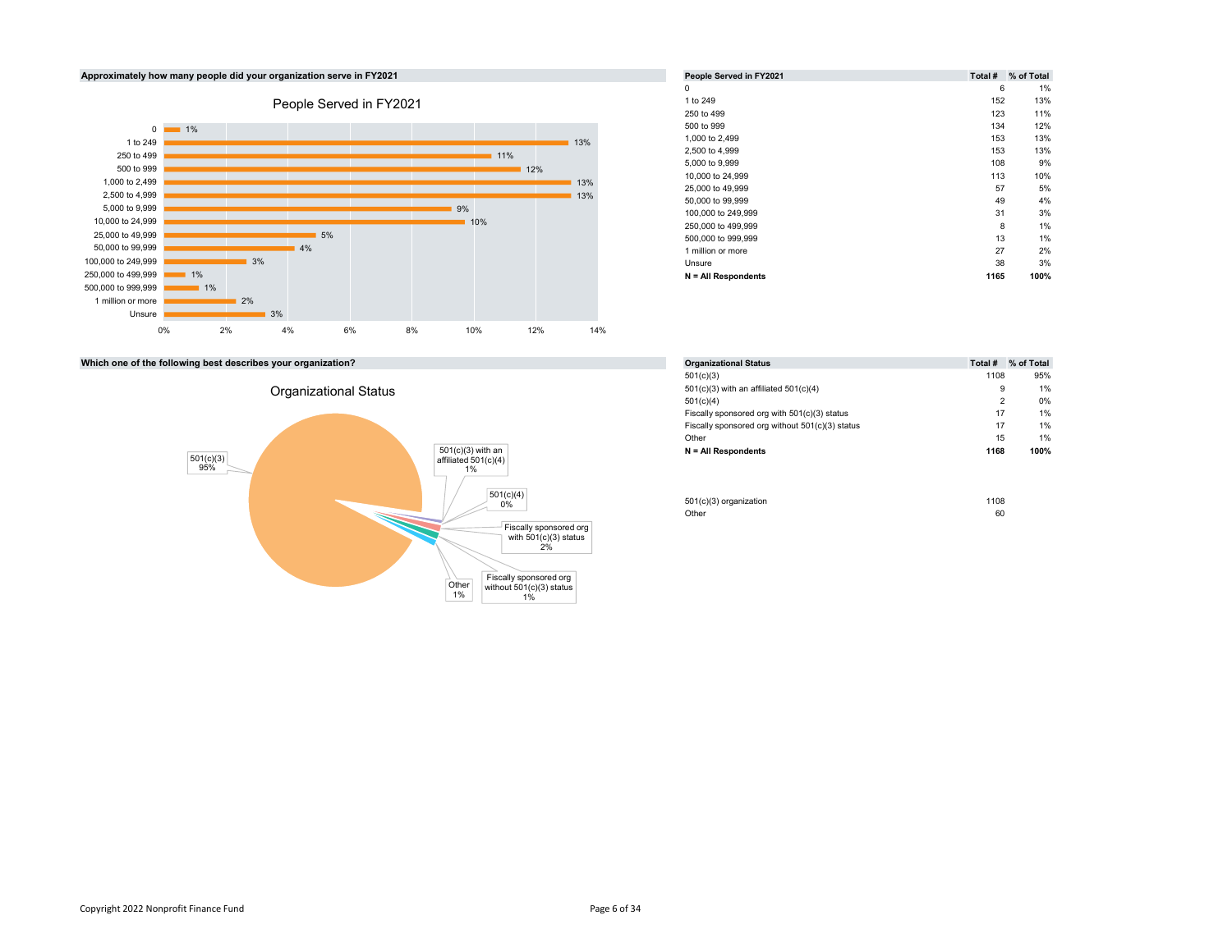

|     |     | People Served in FY2021 | Total # | % of Total |
|-----|-----|-------------------------|---------|------------|
|     |     | 0                       | 6       |            |
|     |     | 1 to 249                | 152     |            |
|     |     | 250 to 499              | 123     |            |
|     |     | 500 to 999              | 134     |            |
|     | 13% | 1,000 to 2,499          | 153     |            |
| 11% |     | 2,500 to 4,999          | 153     |            |
| 12% |     | 5,000 to 9,999          | 108     |            |
|     | 13% | 10,000 to 24,999        | 113     |            |
|     |     | 25,000 to 49,999        | 57      |            |
|     | 13% | 50,000 to 99,999        | 49      |            |
|     |     | 100,000 to 249,999      | 31      |            |
|     |     | 250,000 to 499,999      | 8       |            |
|     |     | 500,000 to 999,999      | 13      |            |
|     |     | 1 million or more       | 27      |            |
|     |     | Unsure                  | 38      |            |
|     |     | $N = All Respondents$   | 1165    | 100%       |

| <b>Organizational Status</b>                    | Total #        | % of Total |
|-------------------------------------------------|----------------|------------|
| 501(c)(3)                                       | 1108           | 95%        |
| $501(c)(3)$ with an affiliated $501(c)(4)$      | 9              | 1%         |
| 501(c)(4)                                       | $\overline{2}$ | 0%         |
| Fiscally sponsored org with 501(c)(3) status    | 17             | 1%         |
| Fiscally sponsored org without 501(c)(3) status | 17             | 1%         |
| Other                                           | 15             | 1%         |
| $N = All Respondents$                           | 1168           | 100%       |

| 1(c)(4)<br>0% | 501(c)(3) organization | 1108 |
|---------------|------------------------|------|
|               | Other                  | 60   |

Which one of the following best describes your organization?

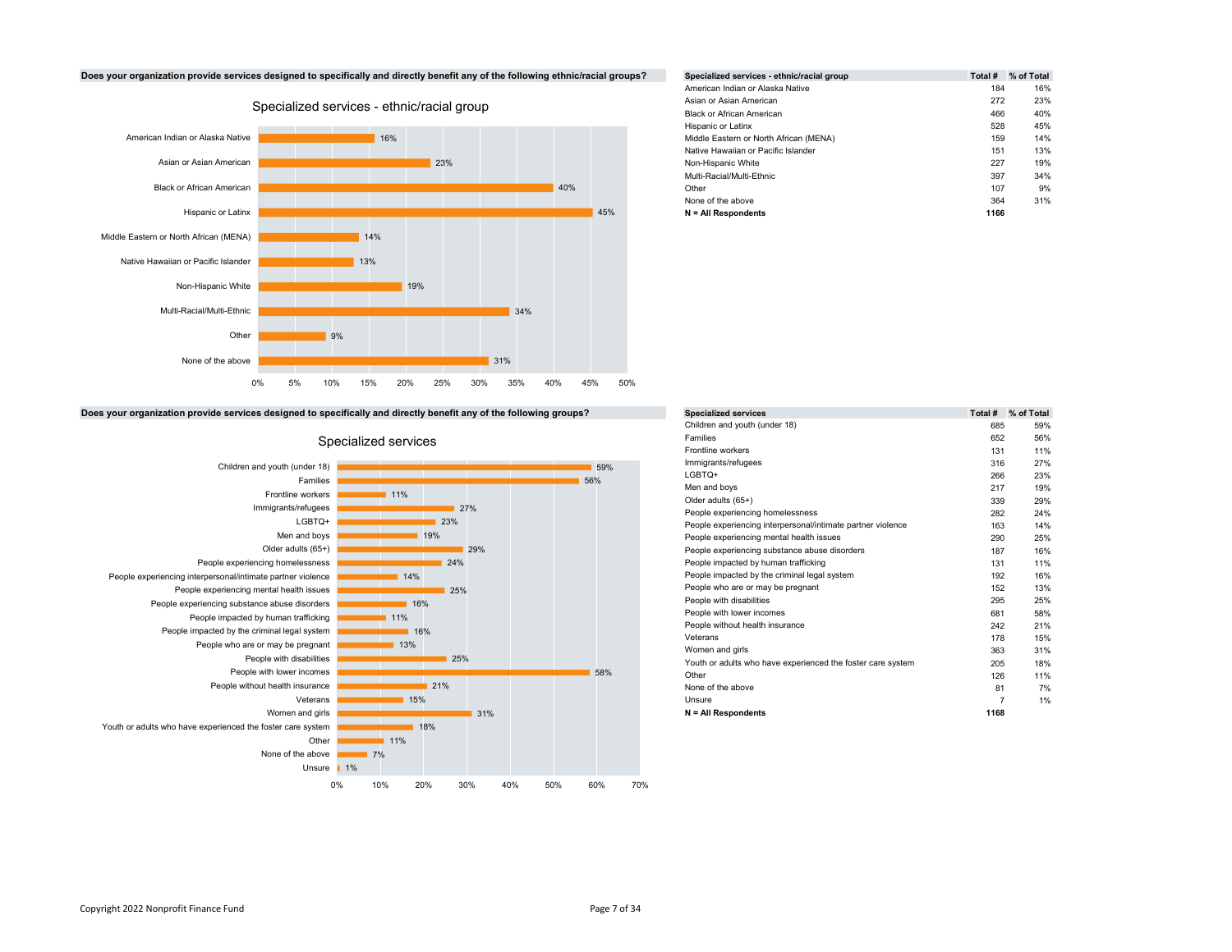



|            |  |     | enefit any of the following ethnic/racial groups? | Specialized services - ethnic/racial group | Total # | % of Total |
|------------|--|-----|---------------------------------------------------|--------------------------------------------|---------|------------|
|            |  |     |                                                   | American Indian or Alaska Native           | 184     | 16%        |
|            |  |     |                                                   | Asian or Asian American                    | 272     | 23%        |
| cial group |  |     | <b>Black or African American</b>                  | 466                                        | 40%     |            |
|            |  |     |                                                   | Hispanic or Latinx                         | 528     | 45%        |
|            |  |     |                                                   | Middle Eastern or North African (MENA)     | 159     | 14%        |
|            |  |     | Native Hawaiian or Pacific Islander               | 151                                        | 13%     |            |
| 23%        |  |     |                                                   | Non-Hispanic White                         | 227     | 19%        |
|            |  |     |                                                   | Multi-Racial/Multi-Ethnic                  | 397     | 34%        |
|            |  | 40% |                                                   | Other                                      | 107     | 9%         |
|            |  |     |                                                   | None of the above                          | 364     | 31%        |
|            |  |     | 45%                                               | $N = All Respondents$                      | 1166    |            |

|     |     |  |     | 45% | N = All Respondents |
|-----|-----|--|-----|-----|---------------------|
| 14% |     |  |     |     |                     |
| 13% |     |  |     |     |                     |
|     | 19% |  |     |     |                     |
|     |     |  | 34% |     |                     |

# Children and youth (under 18) 685 59% Families 652 56% Frontline workers 131 11% Immigrants/refugees 27% LGBTQ+ 266 23% Men and boys 217 19% Older adults (65+) 339 29% People experiencing homelessness 282 24% 27% People experiencing interpersonal/intimate partner violence 163 14% 23% People experiencing mental health issues 290 25% 19% People experiencing substance abuse disorders 187 16% 29% 24% Comparison of the Comparison of the People impacted by human trafficking the Comparison of the 11% of the 1 14% **People impacted by the criminal legal system 192 16% 192 16%** People who are or may be pregnant 152 13% 25% People with disabilities 25% People with lower incomes 681 58% 11%<br>
People without health insurance<br>
242 21% Veterans 178 15% Women and girls 363 31% 13% Youth or adults who have experienced the foster care system 205 18% 25% Other 11% and 126 11% None of the above 81 7% 21% Unsure 7 1% N = All Respondents 1168 31%  $59\%$   $59\%$   $59\%$ 56% 58% 0% 10% 20% 30% 40% 50% 60% 70%

Does your organization provide services designed to specifically and directly benefit any of the following groups? Specialized services Total #  $%$  of Total #  $%$  of Total #  $%$  of Total



# Specialized services **Specialized** services **Specialized** services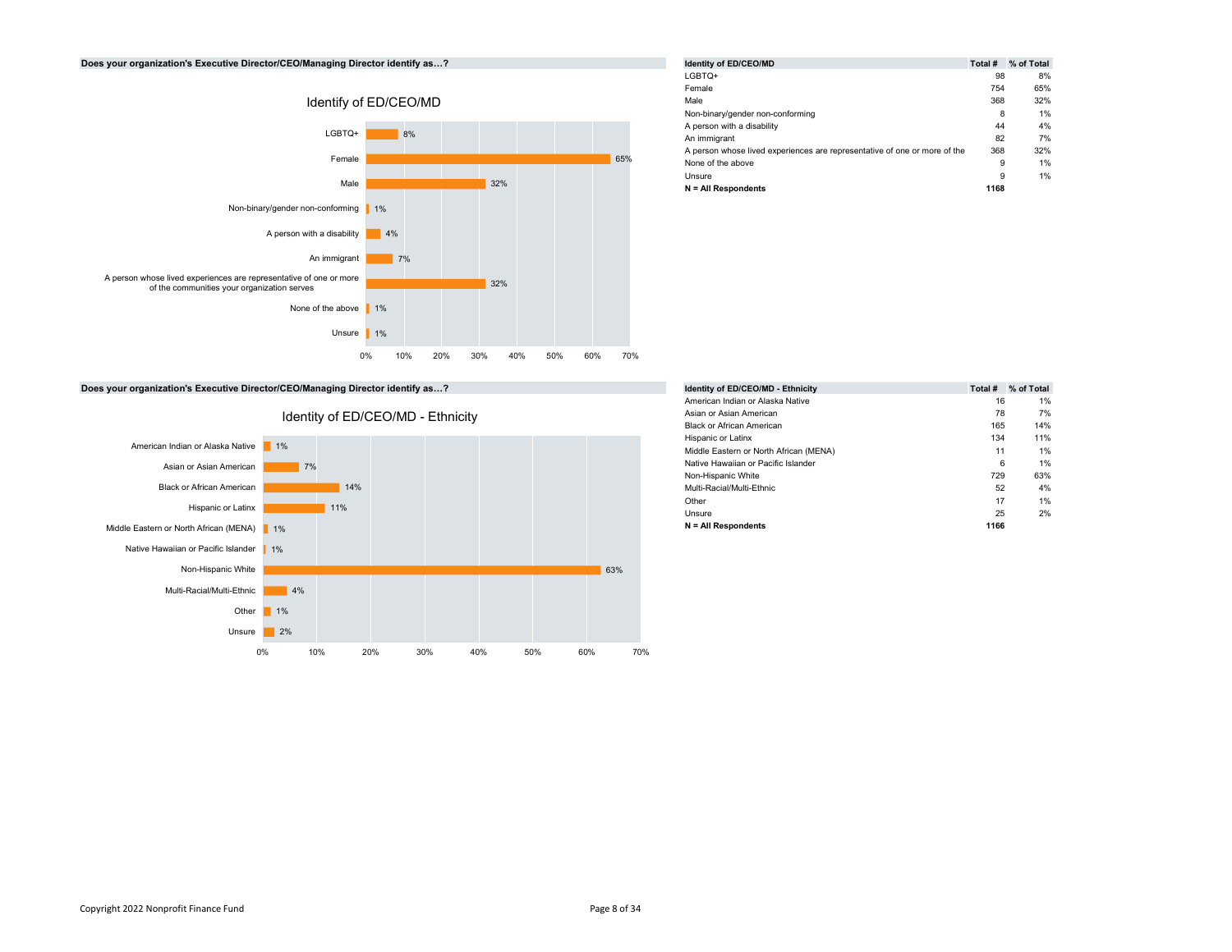# Does your organization's Executive Director/CEO/Managing Director identify as...?



|     | Identity of ED/CEO/MD                                                     | Total # | % of Total |
|-----|---------------------------------------------------------------------------|---------|------------|
|     | LGBTQ+                                                                    | 98      | 8%         |
|     | Female                                                                    | 754     | 65%        |
|     | Male                                                                      | 368     | 32%        |
|     | Non-binary/gender non-conforming                                          | 8       | 1%         |
|     | A person with a disability                                                | 44      | 4%         |
|     | An immigrant                                                              | 82      | 7%         |
|     | A person whose lived experiences are representative of one or more of the | 368     | 32%        |
| 65% | None of the above                                                         | 9       | 1%         |
|     | Unsure                                                                    | 9       | 1%         |
| 32% | $N = All Respondents$                                                     | 1168    |            |

Does your organization's Executive Director/CEO/Managing Director identify as...?



|      | % of Total |
|------|------------|
| 16   | 1%         |
| 78   | 7%         |
| 165  | 14%        |
| 134  | 11%        |
| 11   | 1%         |
| 6    | 1%         |
| 729  | 63%        |
| 52   | 4%         |
| 17   | 1%         |
| 25   | 2%         |
| 1166 |            |
|      | Total #    |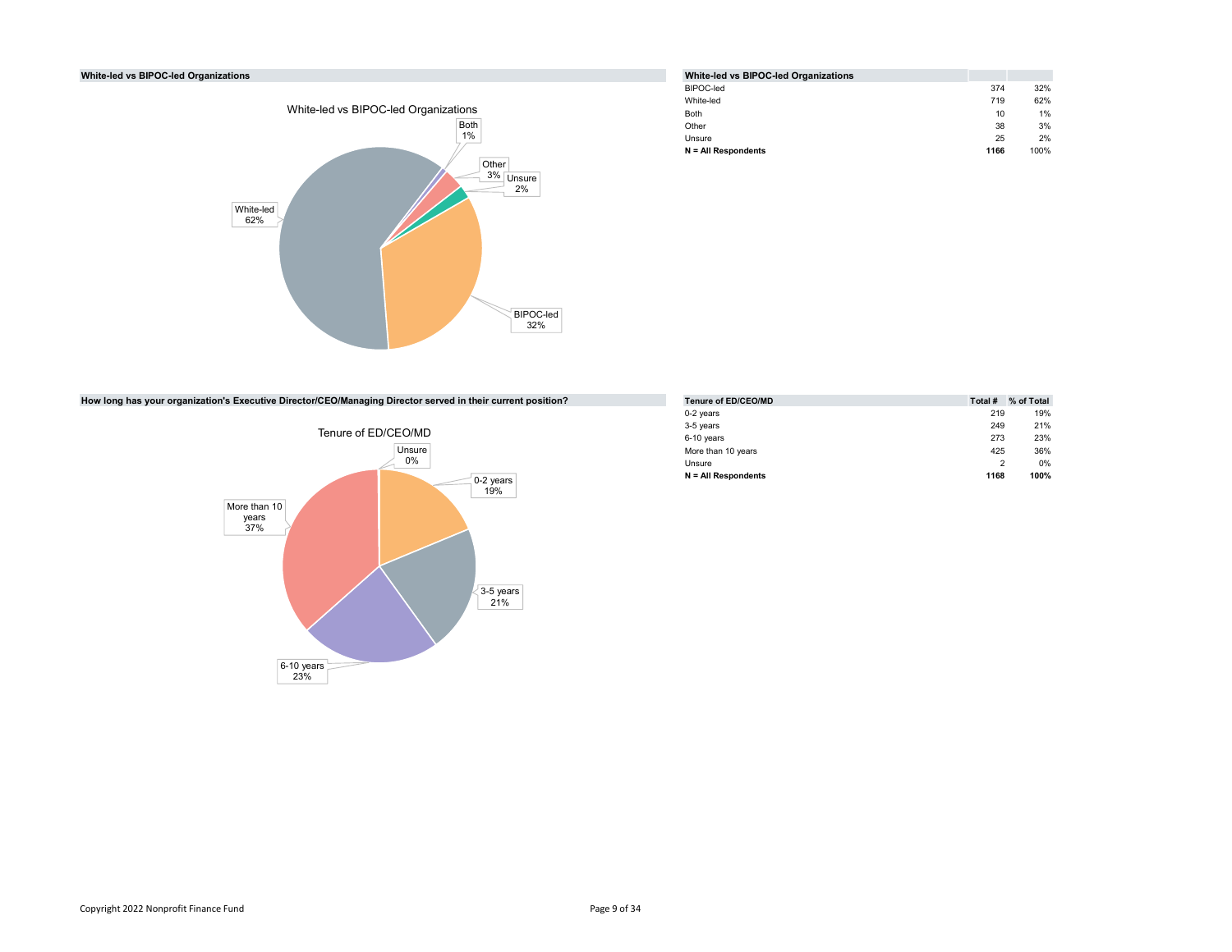# White-led vs BIPOC-led Organizations



|      | White-led vs BIPOC-led Organizations |      |      |
|------|--------------------------------------|------|------|
|      | BIPOC-led                            | 374  | 32%  |
|      | White-led                            | 719  | 62%  |
| ons  | <b>Both</b>                          | 10   | 1%   |
| 3oth | Other                                | 38   | 3%   |
| 1%   | Unsure                               | 25   | 2%   |
|      | $N = All$ Respondents                | 1166 | 100% |
|      |                                      |      |      |

How long has your organization's Executive Director/CEO/Managing Director served in their current position?



|       | ctor served in their current position? | Tenure of ED/CEO/MD   | Total # | % of Total |
|-------|----------------------------------------|-----------------------|---------|------------|
|       |                                        | 0-2 years             | 219     | 19%        |
|       |                                        | 3-5 years             | 249     | 21%        |
| D/MD  |                                        | 6-10 years            | 273     | 23%        |
| nsure |                                        | More than 10 years    | 425     | 36%        |
| 0%    |                                        | Unsure                |         | 0%         |
|       | 0-2 years                              | $N = All Respondents$ | 1168    | 100%       |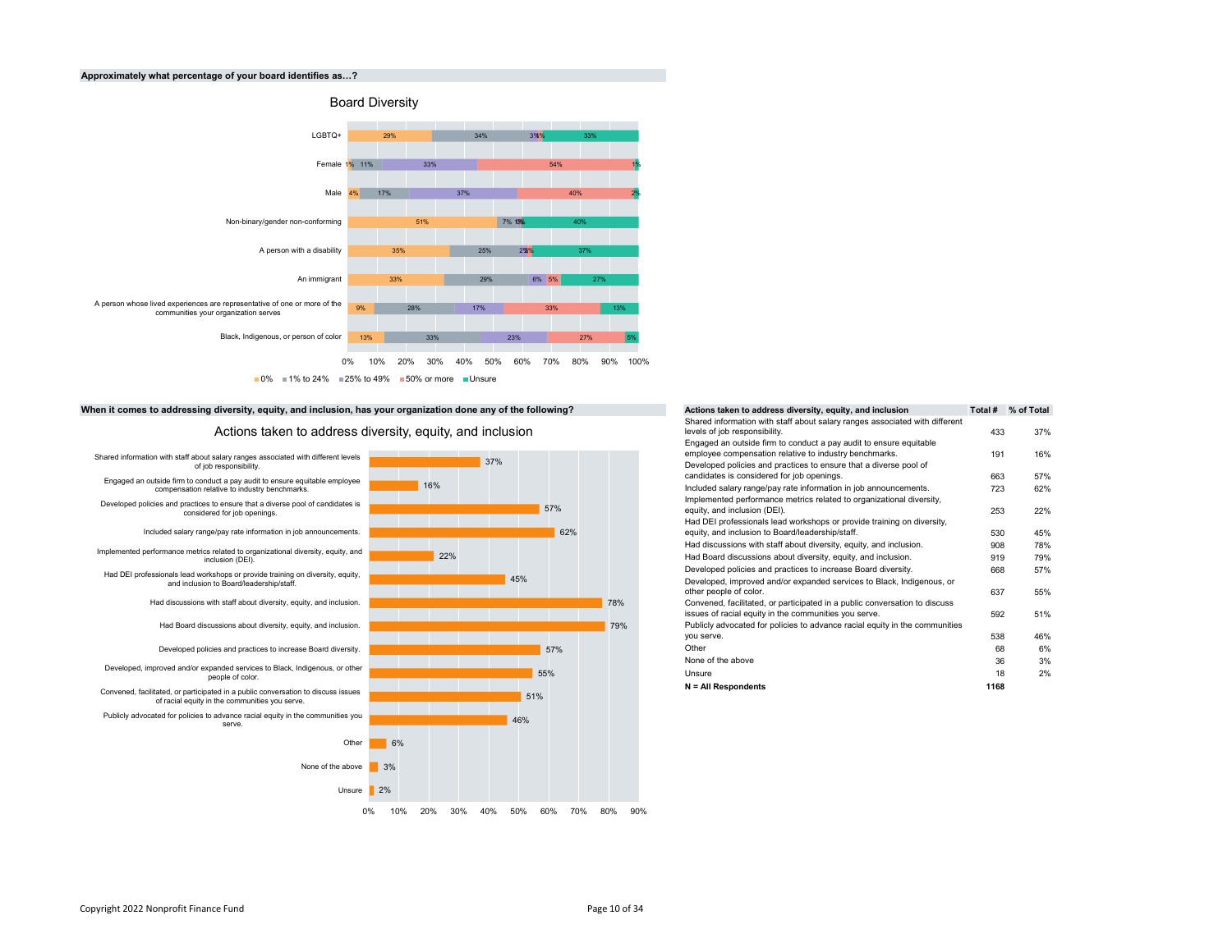#### Approximately what percentage of your board identifies as...?



# When it comes to addressing diversity, equity, and inclusion, has your organization done any of the following?

Actions taken to address diversity, equity, and inclusion



| ion done any of the following? |     | Actions taken to address diversity, equity, and inclusion                                                                                                                      | Total # | % of Total |
|--------------------------------|-----|--------------------------------------------------------------------------------------------------------------------------------------------------------------------------------|---------|------------|
| ty, and inclusion              |     | Shared information with staff about salary ranges associated with different<br>levels of job responsibility.                                                                   | 433     | 37%        |
|                                |     | Engaged an outside firm to conduct a pay audit to ensure equitable<br>employee compensation relative to industry benchmarks.                                                   | 191     | 16%        |
| 37%                            |     | Developed policies and practices to ensure that a diverse pool of<br>candidates is considered for job openings.                                                                | 663     | 57%        |
|                                |     | Included salary range/pay rate information in job announcements.                                                                                                               | 723     | 62%        |
| 57%                            |     | Implemented performance metrics related to organizational diversity,<br>equity, and inclusion (DEI).<br>Had DEI professionals lead workshops or provide training on diversity, | 253     | 22%        |
| 62%                            |     | equity, and inclusion to Board/leadership/staff.                                                                                                                               | 530     | 45%        |
|                                |     | Had discussions with staff about diversity, equity, and inclusion.                                                                                                             | 908     | 78%        |
| 22%                            |     | Had Board discussions about diversity, equity, and inclusion.                                                                                                                  | 919     | 79%        |
|                                |     | Developed policies and practices to increase Board diversity.                                                                                                                  | 668     | 57%        |
| 45%                            | 78% | Developed, improved and/or expanded services to Black, Indigenous, or<br>other people of color.<br>Convened, facilitated, or participated in a public conversation to discuss  | 637     | 55%        |
|                                |     | issues of racial equity in the communities you serve.                                                                                                                          | 592     | 51%        |
|                                | 79% | Publicly advocated for policies to advance racial equity in the communities<br>you serve.                                                                                      | 538     | 46%        |
| 57%                            |     | Other                                                                                                                                                                          | 68      | 6%         |
|                                |     | None of the above                                                                                                                                                              | 36      | 3%         |
| 55%                            |     | Unsure                                                                                                                                                                         | 18      | 2%         |
|                                |     | $N = All Respondents$                                                                                                                                                          | 1168    |            |
| 51%                            |     |                                                                                                                                                                                |         |            |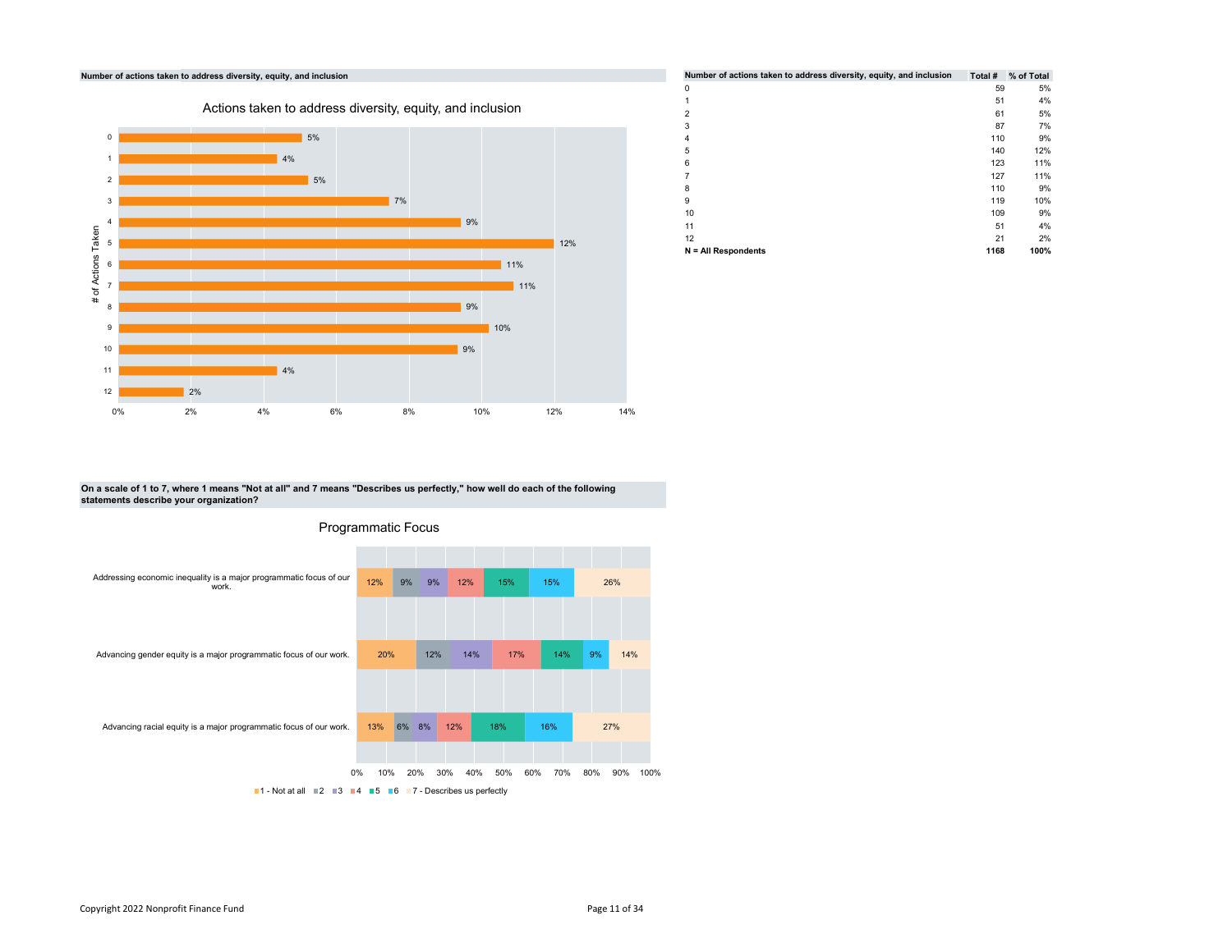

|           |     | Number of actions taken to address diversity, equity, and inclusion |      | Total # % of Total |
|-----------|-----|---------------------------------------------------------------------|------|--------------------|
|           |     | 0                                                                   | 59   | 5%                 |
| inclusion |     |                                                                     | 51   | 4%                 |
|           |     | $\overline{2}$                                                      | 61   | 5%                 |
|           |     | 3                                                                   | 87   | 7%                 |
|           |     | 4                                                                   | 110  | 9%                 |
|           |     | 5                                                                   | 140  | 12%                |
|           |     | 6                                                                   | 123  | 11%                |
|           |     |                                                                     | 127  | 11%                |
|           |     | 8                                                                   | 110  | 9%                 |
|           |     | 9                                                                   | 119  | 10%                |
| 9%        |     | 10                                                                  | 109  | 9%                 |
|           |     | 11                                                                  | 51   | 4%                 |
|           | 12% | 12                                                                  | 21   | 2%                 |
|           |     | N = All Respondents                                                 | 1168 | 100%               |

On a scale of 1 to 7, where 1 means "Not at all" and 7 means "Describes us perfectly," how well do each of the following statements describe your organization?



Programmatic Focus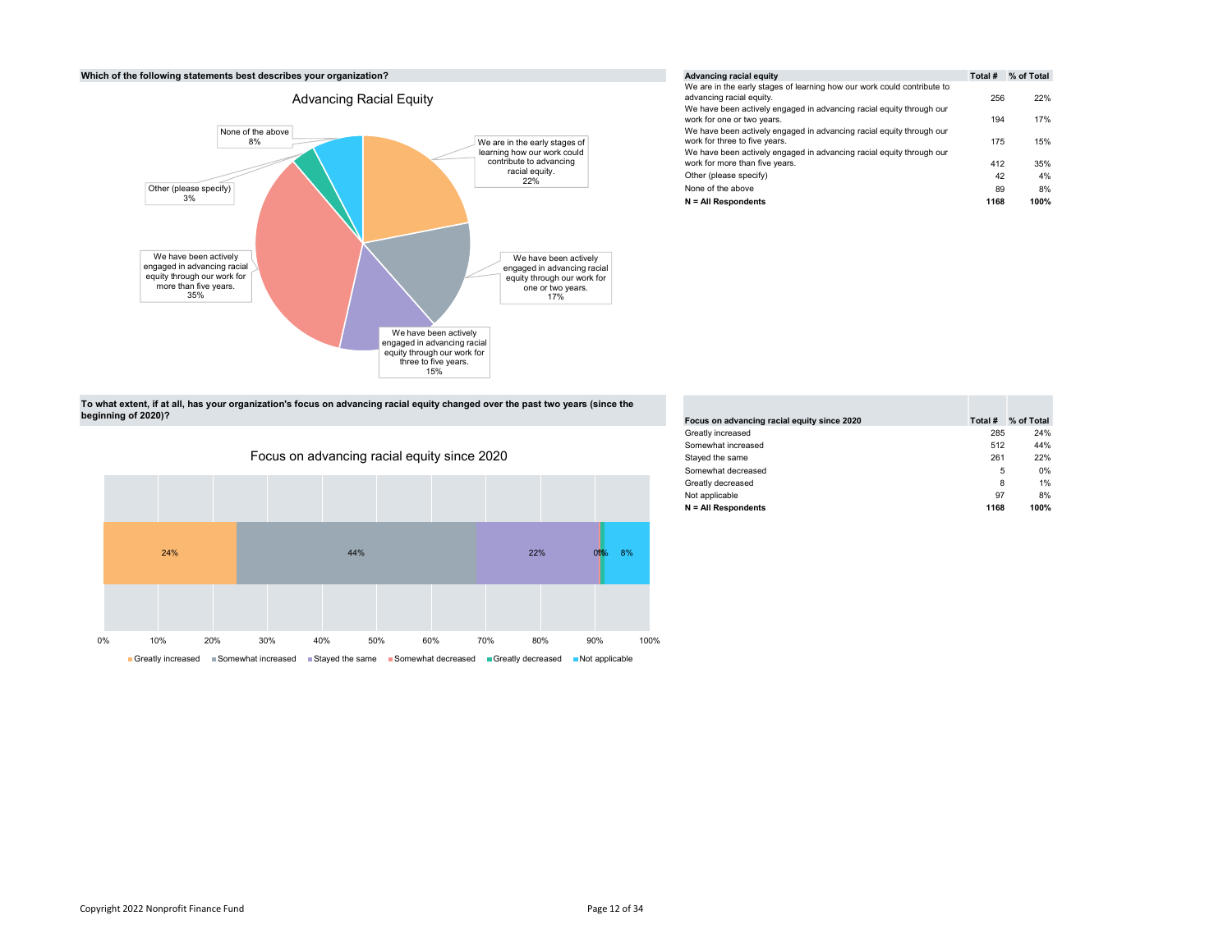#### Which of the following statements best describes your organization?



|                                    | Advancing racial equity                                                                                | Total # | % of Total |
|------------------------------------|--------------------------------------------------------------------------------------------------------|---------|------------|
|                                    | We are in the early stages of learning how our work could contribute to<br>advancing racial equity.    | 256     | 22%        |
|                                    | We have been actively engaged in advancing racial equity through our<br>work for one or two years.     | 194     | 17%        |
| e early stages of                  | We have been actively engaged in advancing racial equity through our<br>work for three to five years.  | 175     | 15%        |
| v our work could<br>e to advancing | We have been actively engaged in advancing racial equity through our<br>work for more than five years. | 412     | 35%        |
| al equity.<br>22%                  | Other (please specify)                                                                                 | 42      | 4%         |
|                                    | None of the above                                                                                      | 89      | 8%         |
|                                    | $N = All Respondents$                                                                                  | 1168    | 100%       |

To what extent, if at all, has your organization's focus on advancing racial equity changed over the past two years (since the beginning of 2020)?



| Focus on advancing racial equity since 2020 | Total # | % of Total |
|---------------------------------------------|---------|------------|
| Greatly increased                           | 285     | 24%        |
| Somewhat increased                          | 512     | 44%        |
| Stayed the same                             | 261     | 22%        |
| Somewhat decreased                          | 5       | 0%         |
| Greatly decreased                           | 8       | 1%         |
| Not applicable                              | 97      | 8%         |
| $N = All Respondents$                       | 1168    | 100%       |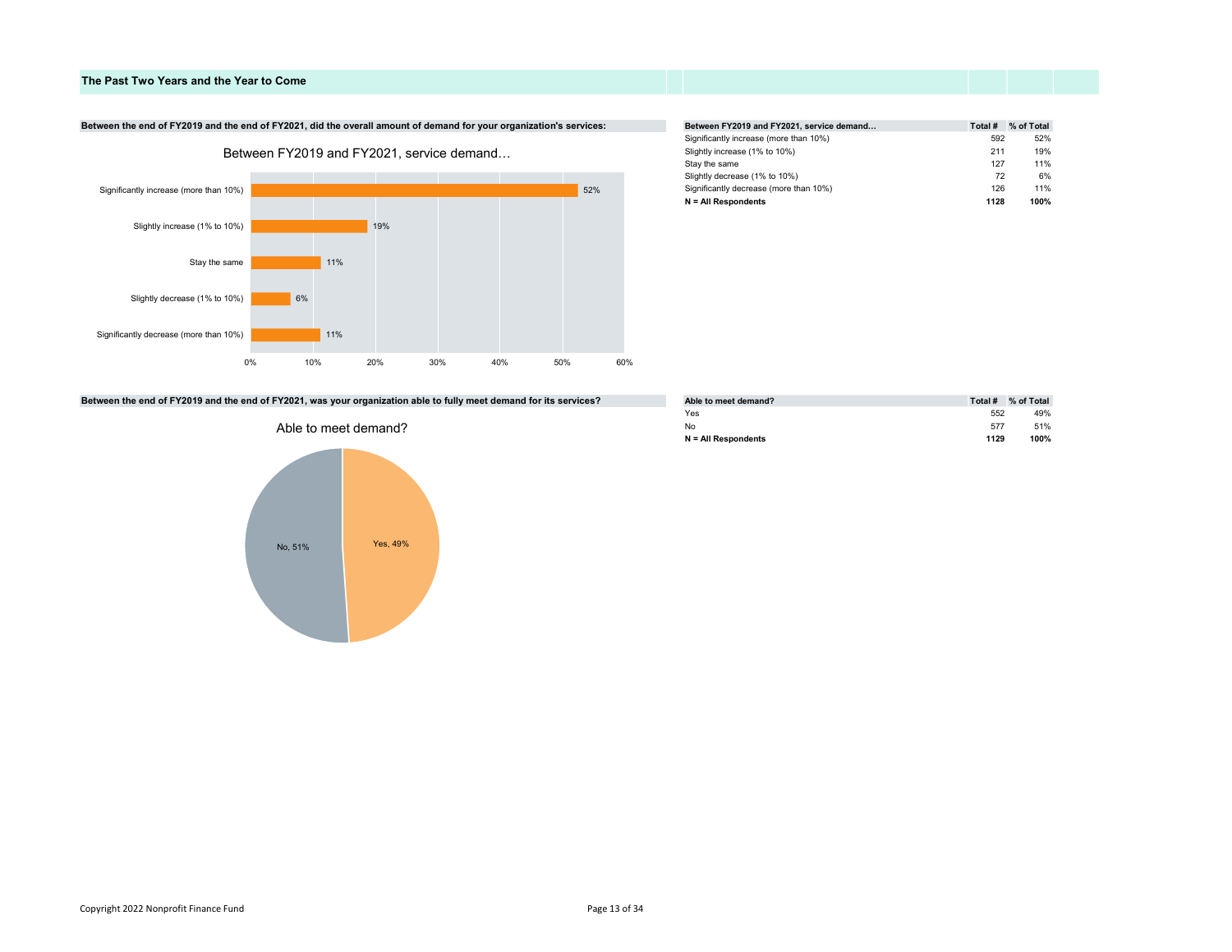# The Past Two Years and the Year to Come

# Between the end of FY2019 and the end of FY2021, did the overall amount of demand for your organization's services:



| Total # | % of Total |
|---------|------------|
|         | 52%        |
| 211     | 19%        |
| 127     | 11%        |
|         | 6%         |
| 126     | 11%        |
| 1128    | 100%       |
|         | 592<br>72  |

# Between the end of FY2019 and the end of FY2021, was your organization able to fully meet demand for its services?



| Able to meet demand?  | Total # | % of Total |
|-----------------------|---------|------------|
| Yes                   | 552     | 49%        |
| No                    | 577     | 51%        |
| $N = All Respondents$ | 1129    | 100%       |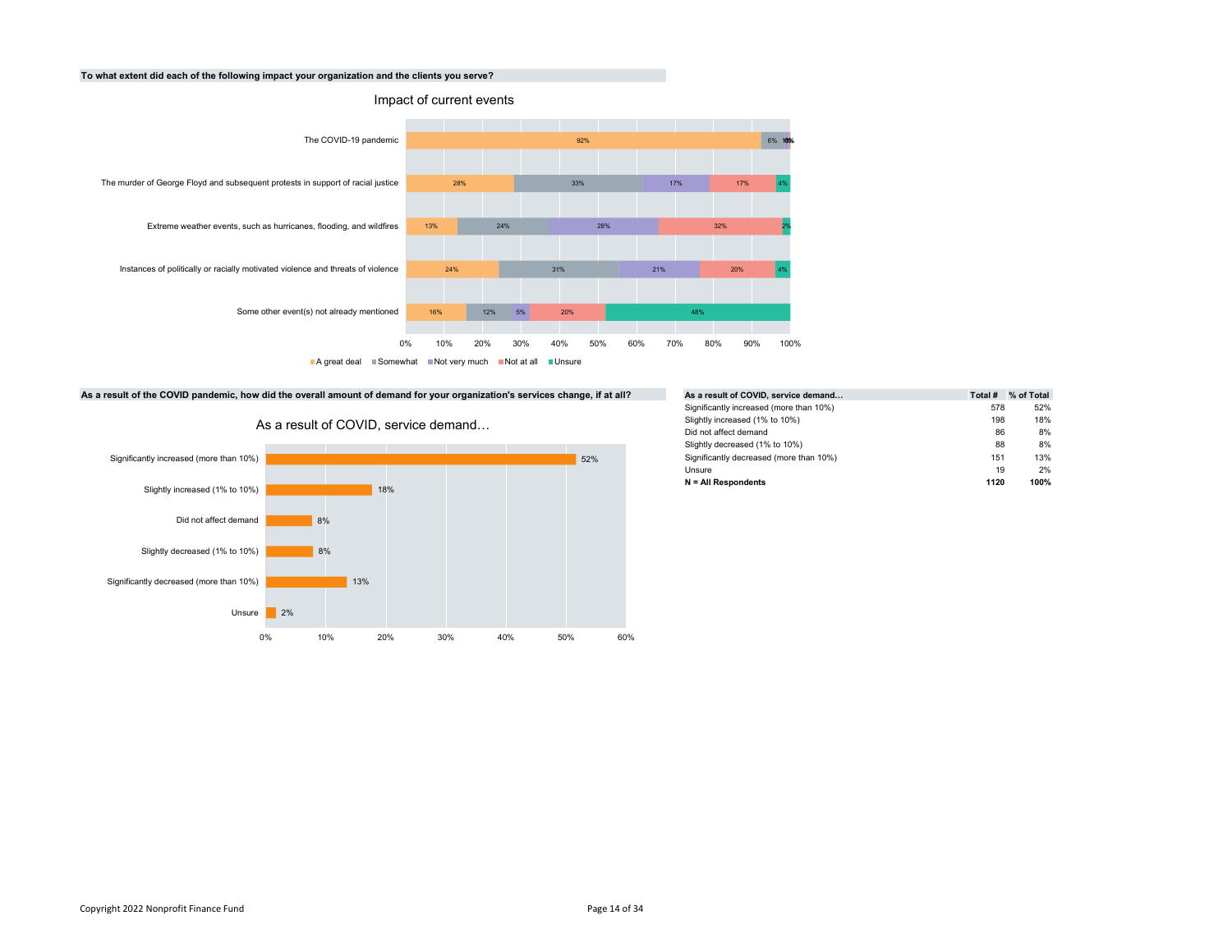# To what extent did each of the following impact your organization and the clients you serve?



■A great deal ■Somewhat ■Not very much ■Not at all ■Unsure

#### As a result of the COVID pandemic, how did the overall amount of demand for your organization's services change, if at all?



As a result of COVID, service demand…

| Total # | % of Total |
|---------|------------|
| 578     | 52%        |
| 198     | 18%        |
| 86      | 8%         |
| 88      | 8%         |
| 151     | 13%        |
| 19      | 2%         |
| 1120    | 100%       |
|         |            |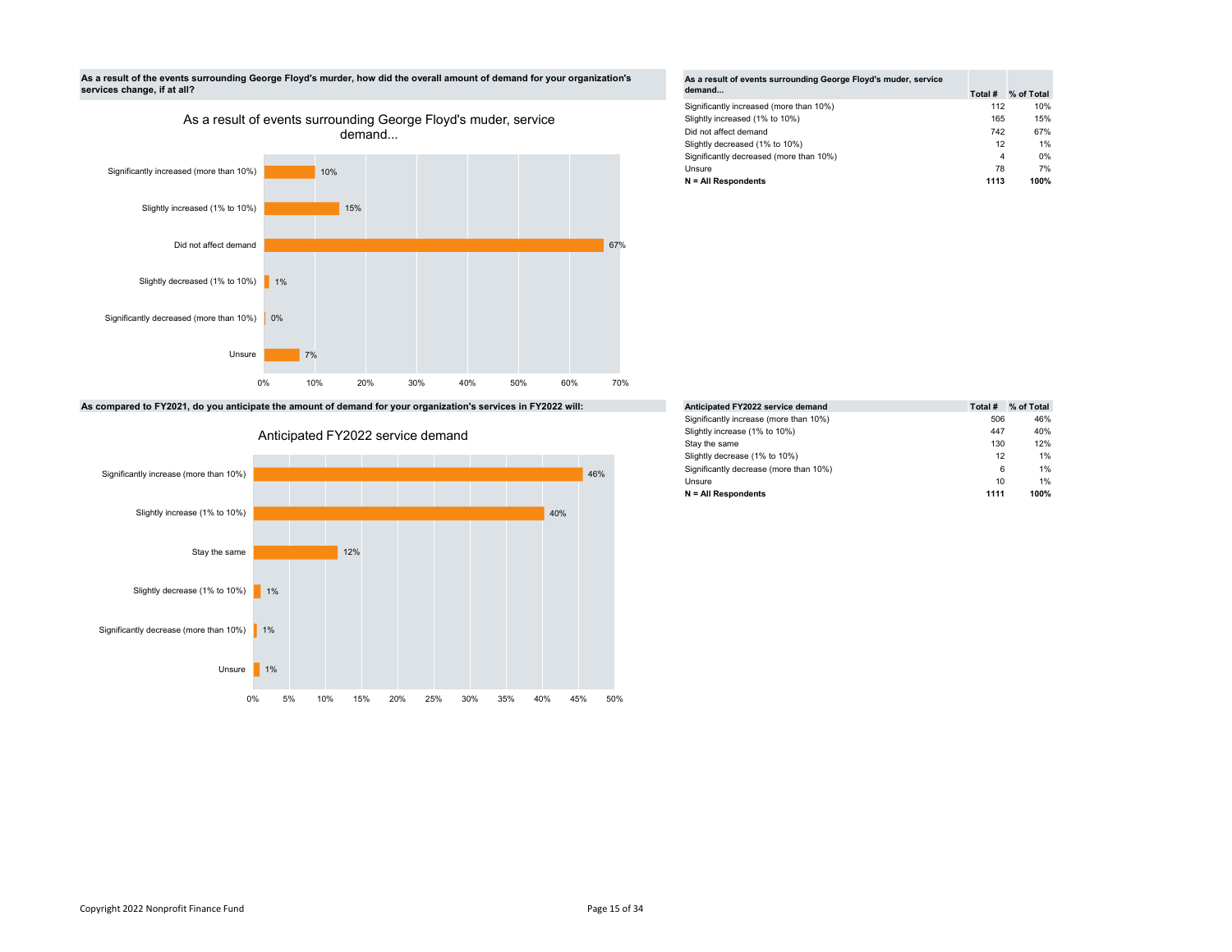

As a result of events surrounding George Floyd's muder, service



As compared to FY2021, do you anticipate the amount of demand for your organization's services in FY2022 will:





| As a result of events surrounding George Floyd's muder, service |         |            |
|-----------------------------------------------------------------|---------|------------|
| demand                                                          | Total # | % of Total |
| Significantly increased (more than 10%)                         | 112     | 10%        |
| Slightly increased (1% to 10%)                                  | 165     | 15%        |
| Did not affect demand                                           | 742     | 67%        |
| Slightly decreased (1% to 10%)                                  | 12      | 1%         |
| Significantly decreased (more than 10%)                         | 4       | 0%         |
| Unsure                                                          | 78      | 7%         |
| $N = All Respondents$                                           | 1113    | 100%       |

|     | Anticipated FY2022 service demand      | Total # | % of Total |
|-----|----------------------------------------|---------|------------|
|     | Significantly increase (more than 10%) | 506     | 46%        |
|     | Slightly increase (1% to 10%)          | 447     | 40%        |
|     | Stay the same                          | 130     | 12%        |
|     | Slightly decrease (1% to 10%)          | 12      | 1%         |
| 46% | Significantly decrease (more than 10%) | 6       | 1%         |
|     | Unsure                                 | 10      | 1%         |
|     | $N = All Respondents$                  | 1111    | 100%       |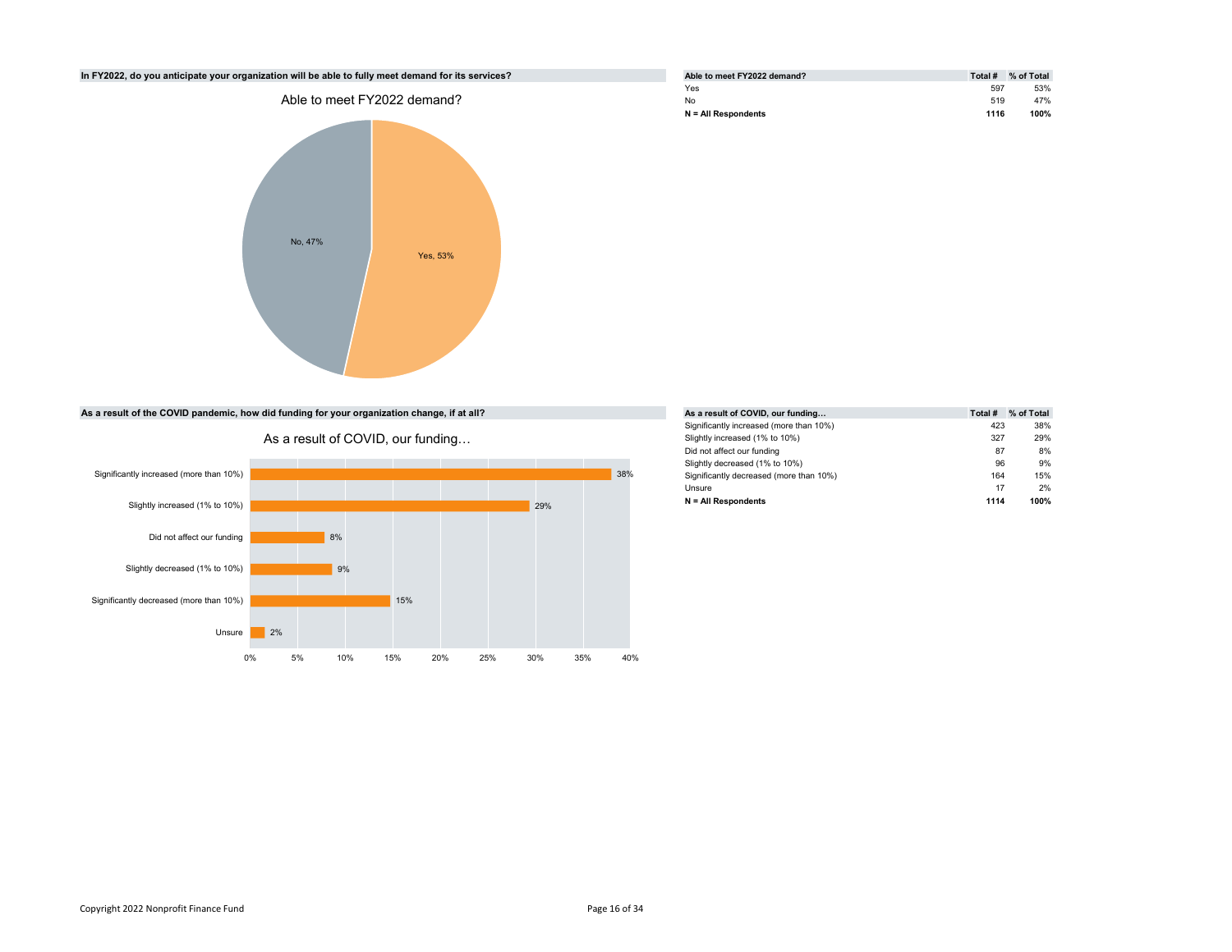

| Able to meet FY2022 demand? | Total # | % of Total |
|-----------------------------|---------|------------|
| Yes                         | 597     | 53%        |
| No                          | 519     | 47%        |
| $N = All Respondents$       | 1116    | 100%       |

|     |     | As a result of COVID, our funding       | Total # | % of Total |
|-----|-----|-----------------------------------------|---------|------------|
|     |     | Significantly increased (more than 10%) | 423     | 38%        |
|     |     | Slightly increased (1% to 10%)          | 327     | 29%        |
|     |     | Did not affect our funding              | 87      | 8%         |
|     |     | Slightly decreased (1% to 10%)          | 96      | 9%         |
|     | 38% | Significantly decreased (more than 10%) | 164     | 15%        |
|     |     | Unsure                                  | 17      | 2%         |
| 29% |     | $N = All Respondents$                   | 1114    | 100%       |
|     |     |                                         |         |            |

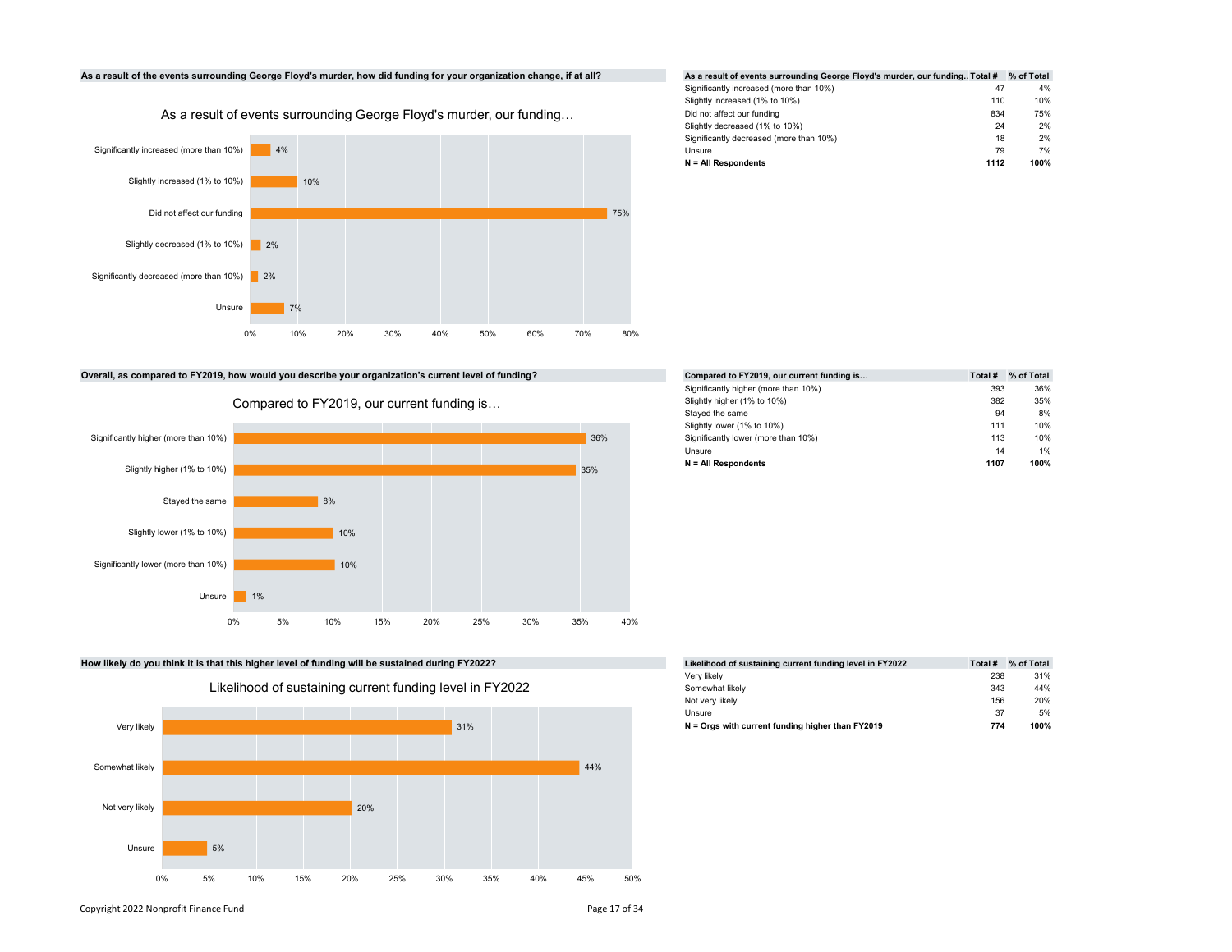

# Significantly increased (more than 10%) 47 4% Slightly increased (1% to 10%) 110 10% Did not affect our funding 834 75% Slightly decreased (1% to 10%) 24 2% Significantly decreased (more than 10%) 18 2% 18 2% 18 2% Unsure 79 7%  $N = All$  Respondents 1112 100%

Overall, as compared to FY2019, how would you describe your organization's current level of funding?



Compared to FY2019, our current funding is…





|     | Compared to FY2019, our current funding is | Total # | % of Total |
|-----|--------------------------------------------|---------|------------|
|     | Significantly higher (more than 10%)       | 393     | 36%        |
|     | Slightly higher (1% to 10%)                | 382     | 35%        |
|     | Stayed the same                            | 94      | 8%         |
|     | Slightly lower (1% to 10%)                 | 111     | 10%        |
| 36% | Significantly lower (more than 10%)        | 113     | 10%        |
|     | Unsure                                     | 14      | 1%         |
| 35% | $N = All Respondents$                      | 1107    | 100%       |

| FY2022?        | Likelihood of sustaining current funding level in FY2022 | Total # | % of Total |
|----------------|----------------------------------------------------------|---------|------------|
|                | Very likely                                              | 238     | 31%        |
| el in FY2022 l | Somewhat likely                                          | 343     | 44%        |
|                | Not very likely                                          | 156     | 20%        |
|                | Unsure                                                   | 37      | 5%         |
| 31%            | $N =$ Orgs with current funding higher than $FY2019$     | 774     | 100%       |

Copyright 2022 Nonprofit Finance Fund **Page 17 of 34** Page 17 of 34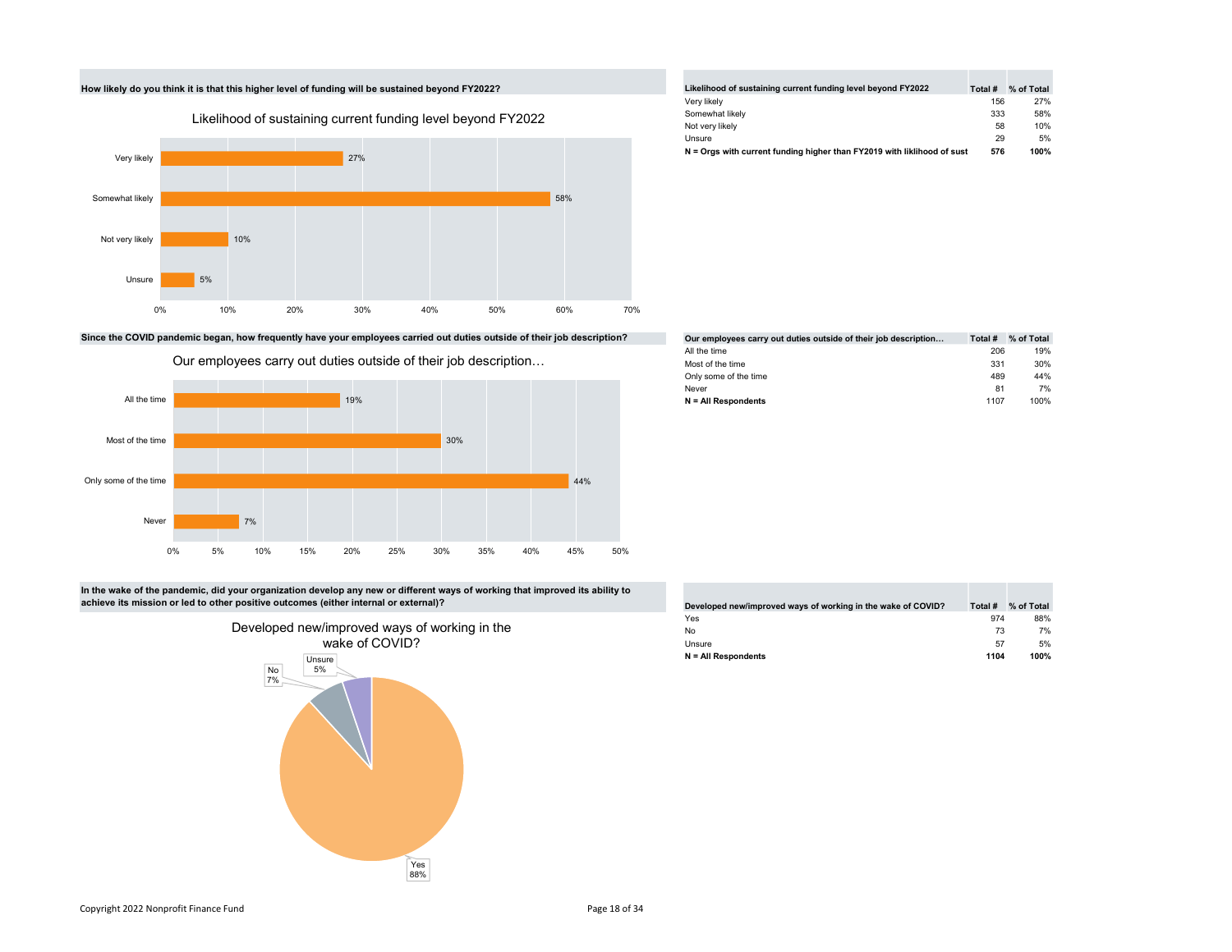

Since the COVID pandemic began, how frequently have your employees carried out duties outside of their job description?



|                       |             | Our employees carry out duties outside of their job description |     |     |     |     |     |     |     |     | Most of the time<br>Only some of the time |  | 331<br>489 | 3 <sub>l</sub><br>4 <sub>1</sub> |
|-----------------------|-------------|-----------------------------------------------------------------|-----|-----|-----|-----|-----|-----|-----|-----|-------------------------------------------|--|------------|----------------------------------|
| All the time          |             |                                                                 |     | 19% |     |     |     |     |     |     | Never<br>N = All Respondents              |  | 81<br>1107 | 10                               |
| Most of the time      |             |                                                                 |     |     |     | 30% |     |     |     |     |                                           |  |            |                                  |
| Only some of the time |             |                                                                 |     |     |     |     |     |     | 44% |     |                                           |  |            |                                  |
| Never                 |             | 7%                                                              |     |     |     |     |     |     |     |     |                                           |  |            |                                  |
|                       | 5%<br>$0\%$ | 10%                                                             | 15% | 20% | 25% | 30% | 35% | 40% | 45% | 50% |                                           |  |            |                                  |

In the wake of the pandemic, did your organization develop any new or different ways of working that improved its ability to achieve its mission or led to other positive outcomes (either internal or external)?



| Likelihood of sustaining current funding level beyond FY2022            | Total # | % of Total |
|-------------------------------------------------------------------------|---------|------------|
| Very likely                                                             | 156     | 27%        |
| Somewhat likely                                                         | 333     | 58%        |
| Not very likely                                                         | 58      | 10%        |
| Unsure                                                                  | 29      | 5%         |
| N = Orgs with current funding higher than FY2019 with liklihood of sust | 576     | 100%       |

| Our employees carry out duties outside of their job description | Total # | % of Total |
|-----------------------------------------------------------------|---------|------------|
| All the time                                                    | 206     | 19%        |
| Most of the time                                                | 331     | 30%        |
| Only some of the time                                           | 489     | 44%        |
| Never                                                           | 81      | 7%         |
| $N = All Respondents$                                           | 1107    | 100%       |

| Developed new/improved ways of working in the wake of COVID? | Total # | % of Total |
|--------------------------------------------------------------|---------|------------|
| Yes                                                          | 974     | 88%        |
| No                                                           | 73      | 7%         |
| Unsure                                                       | 57      | 5%         |
| $N = All Respondents$                                        | 1104    | 100%       |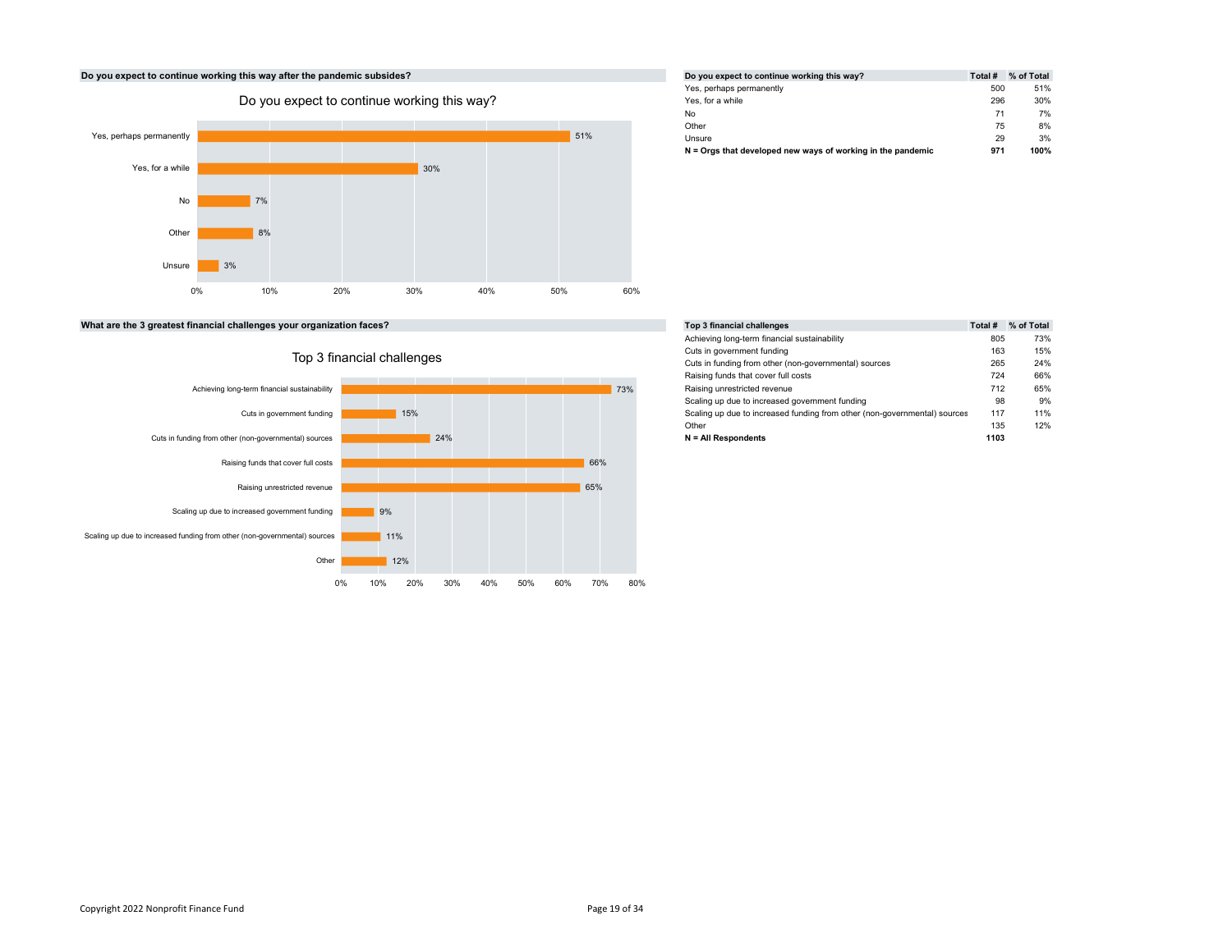# 30% 7% and the contract of the contract of the contract of the contract of the contract of the contract of the contract of the contract of the contract of the contract of the contract of the contract of the contract of the con 8% and the state of the state of the state of the state of the state of the state of the state of the state of 3% and the state of the state of the state of the state of the state of the state of the state of the state of 0% 10% 20% 30% 40% 50% 60% Yes, perhaps permanently **The Second Second Second Second Second Second Second Second Second Second Second Second Second Second Second Second Second Second Second Second Second Second Second Second Second Second Second Second Second Second Second** Note that the contract of the contract of the contract of the contract of the contract of the contract of the contract of the contract of the contract of the contract of the contract of the contract of the contract of the Other 8% Do you expect to continue working this way?<br>
anently<br>
anently<br>
a while<br>
a while<br>
No T<sup>7%</sup><br>
Other<br>
B<sup>3%</sup><br>
Other<br>
3%

| /hat are the 3 greatest financial challenges your organization faces? |  |
|-----------------------------------------------------------------------|--|
|-----------------------------------------------------------------------|--|



#### Do you expect to continue working this way after the pandemic subsides? Do you expect to continue working this way? Total # % of Total # % of Total Yes, perhaps permanently the state of the state of the Society of the Society of the Society of the Society of the Society of the Society of the Society of the Society of the Society of the Society of the Society of the So Yes, for a while 296 30% No 71 7% Other 8% Unsure 29 3% N = Orgs that developed new ways of working in the pandemic 971 971 100% 51%

| What are the 3 greatest financial challenges your organization faces? |     | Top 3 financial challenges |                                                                           | Total # % of Total |     |
|-----------------------------------------------------------------------|-----|----------------------------|---------------------------------------------------------------------------|--------------------|-----|
|                                                                       |     |                            | Achieving long-term financial sustainability                              | 805                | 73% |
| Top 3 financial challenges                                            |     |                            | Cuts in government funding                                                | 163                | 15% |
|                                                                       |     |                            | Cuts in funding from other (non-governmental) sources                     | 265                | 24% |
|                                                                       |     |                            | Raising funds that cover full costs                                       | 724                | 66% |
| Achieving long-term financial sustainability                          |     | 73%                        | Raising unrestricted revenue                                              | 712                | 65% |
|                                                                       |     |                            | Scaling up due to increased government funding                            | 98                 | 9%  |
| Cuts in government funding                                            | 15% |                            | Scaling up due to increased funding from other (non-governmental) sources | 117                | 11% |
|                                                                       |     |                            | Other                                                                     | 135                | 12% |
| Cuts in funding from other (non-governmental) sources                 | 24% |                            | N = All Respondents                                                       | 1103               |     |
|                                                                       |     |                            |                                                                           |                    |     |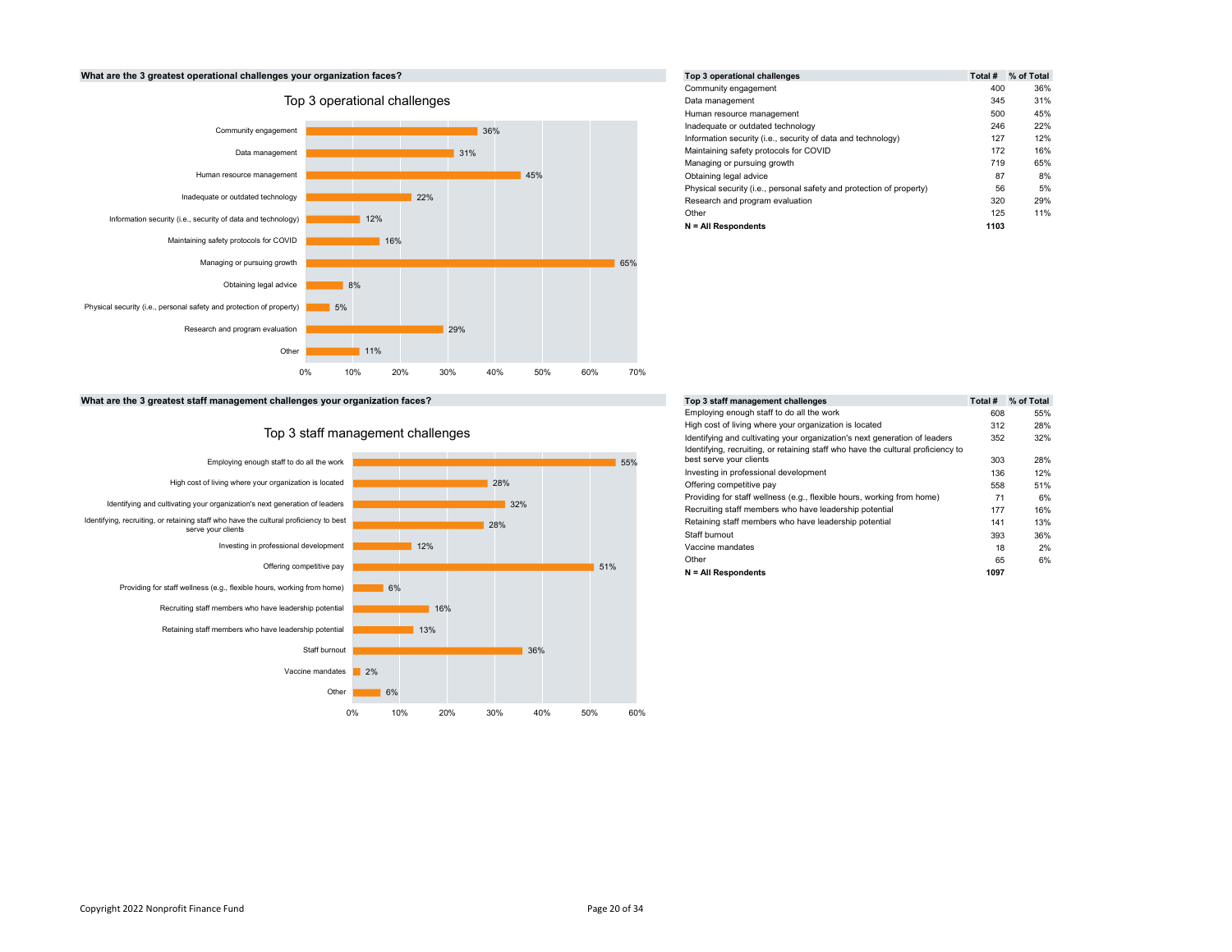



|     | Top 3 operational challenges                                         | Total # | % of Total |
|-----|----------------------------------------------------------------------|---------|------------|
|     | Community engagement                                                 | 400     | 36%        |
|     | Data management                                                      | 345     | 31%        |
|     | Human resource management                                            | 500     | 45%        |
| 36% | Inadequate or outdated technology                                    | 246     | 22%        |
|     | Information security (i.e., security of data and technology)         | 127     | 12%        |
| 31% | Maintaining safety protocols for COVID                               | 172     | 16%        |
|     | Managing or pursuing growth                                          | 719     | 65%        |
| 45% | Obtaining legal advice                                               | 87      | 8%         |
|     | Physical security (i.e., personal safety and protection of property) | 56      | 5%         |
|     | Research and program evaluation                                      | 320     | 29%        |
|     | Other                                                                | 125     | 11%        |
|     | $N = All Respondents$                                                | 1103    |            |

What are the 3 greatest staff management challenges your organization faces? To 3 state 3 state 3 state 3 state  $T_1$ 



|     |     | Top 3 staff management challenges                                                | Total # | % of Total |
|-----|-----|----------------------------------------------------------------------------------|---------|------------|
|     |     | Employing enough staff to do all the work                                        | 608     | 55%        |
|     |     | High cost of living where your organization is located                           | 312     | 28%        |
|     |     | Identifying and cultivating your organization's next generation of leaders       | 352     | 32%        |
|     |     | Identifying, recruiting, or retaining staff who have the cultural proficiency to |         |            |
|     | 55% | best serve your clients                                                          | 303     | 28%        |
|     |     | Investing in professional development                                            | 136     | 12%        |
| 28% |     | Offering competitive pay                                                         | 558     | 51%        |
| 32% |     | Providing for staff wellness (e.g., flexible hours, working from home)           | 71      | 6%         |
|     |     | Recruiting staff members who have leadership potential                           | 177     | 16%        |
| 28% |     | Retaining staff members who have leadership potential                            | 141     | 13%        |
|     |     | Staff burnout                                                                    | 393     | 36%        |
|     |     | Vaccine mandates                                                                 | 18      | 2%         |
|     |     | Other                                                                            | 65      | 6%         |
|     | 51% | $N = All Respondents$                                                            | 1097    |            |
|     |     |                                                                                  |         |            |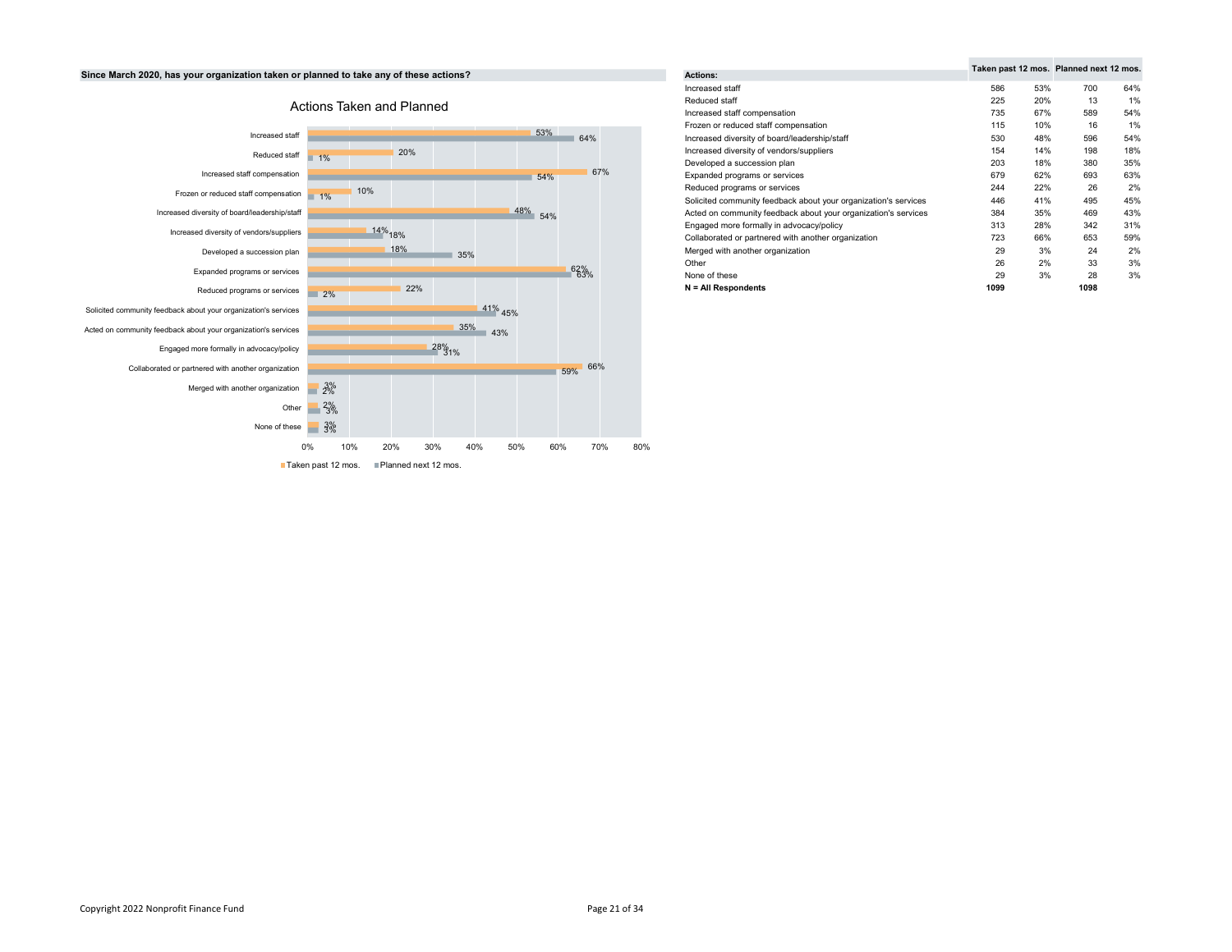# Since March 2020, has your organization taken or planned to take any of these actions?



| ıs?        |     | Actions:                                                        |      |     | Taken past 12 mos. Planned next 12 mos. |     |
|------------|-----|-----------------------------------------------------------------|------|-----|-----------------------------------------|-----|
|            |     | Increased staff                                                 | 586  | 53% | 700                                     | 64% |
|            |     | Reduced staff                                                   | 225  | 20% | 13                                      | 1%  |
|            |     | Increased staff compensation                                    | 735  | 67% | 589                                     | 54% |
|            |     | Frozen or reduced staff compensation                            | 115  | 10% | 16                                      | 1%  |
| 53%        | 64% | Increased diversity of board/leadership/staff                   | 530  | 48% | 596                                     | 54% |
|            |     | Increased diversity of vendors/suppliers                        | 154  | 14% | 198                                     | 18% |
|            |     | Developed a succession plan                                     | 203  | 18% | 380                                     | 35% |
| 54%        | 67% | Expanded programs or services                                   | 679  | 62% | 693                                     | 63% |
|            |     | Reduced programs or services                                    | 244  | 22% | 26                                      | 2%  |
|            |     | Solicited community feedback about your organization's services | 446  | 41% | 495                                     | 45% |
| 48%<br>54% |     | Acted on community feedback about your organization's services  | 384  | 35% | 469                                     | 43% |
|            |     | Engaged more formally in advocacy/policy                        | 313  | 28% | 342                                     | 31% |
|            |     | Collaborated or partnered with another organization             | 723  | 66% | 653                                     | 59% |
| 35%        |     | Merged with another organization                                | 29   | 3%  | 24                                      | 2%  |
|            |     | Other                                                           | 26   | 2%  | 33                                      | 3%  |
|            | 62% | None of these                                                   | 29   | 3%  | 28                                      | 3%  |
|            |     | $N = All Respondents$                                           | 1099 |     | 1098                                    |     |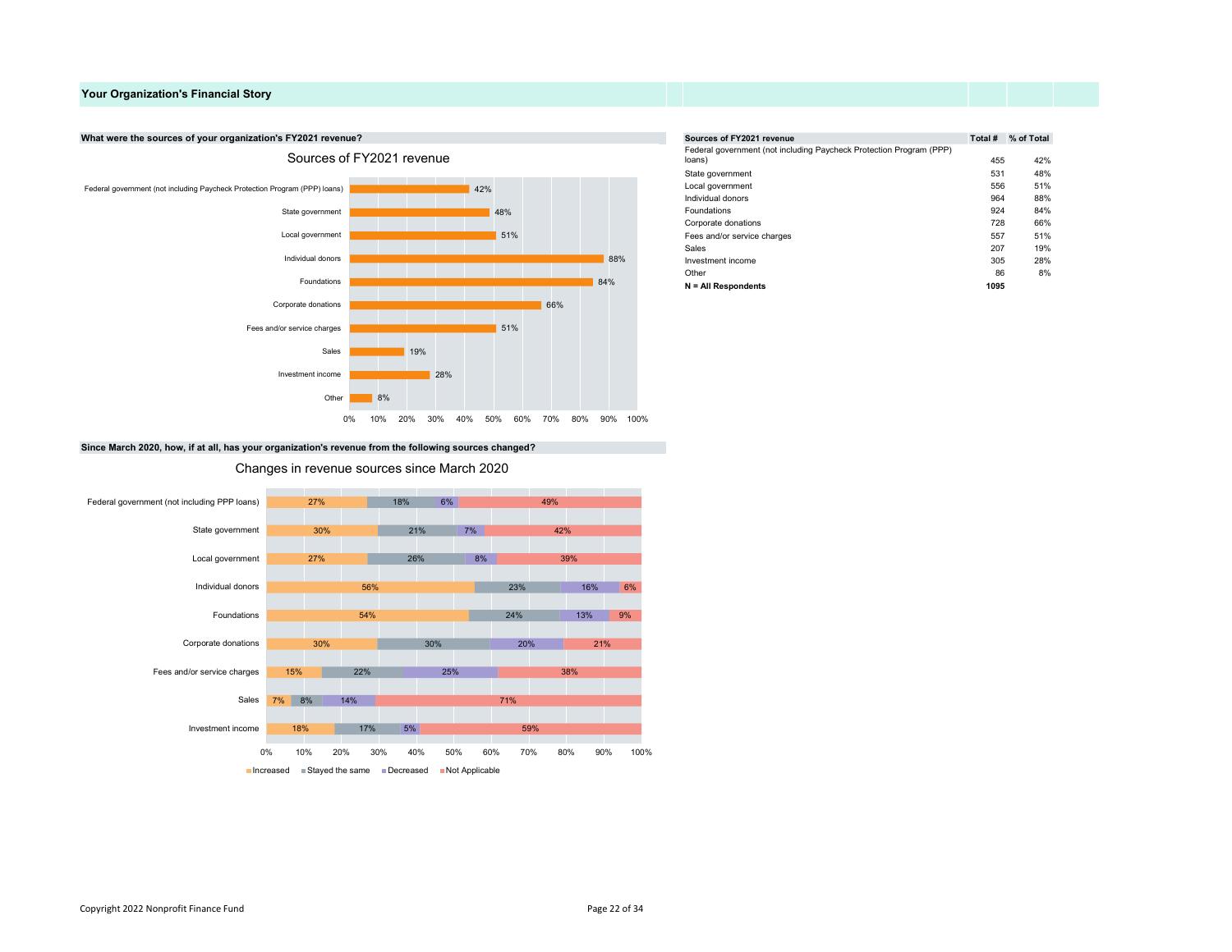# Your Organization's Financial Story

### What were the sources of your organization's FY2021 revenue?



|     |     |     | Sources of FY2021 revenue                                           | Total # | % of Total |
|-----|-----|-----|---------------------------------------------------------------------|---------|------------|
|     |     |     | Federal government (not including Paycheck Protection Program (PPP) |         |            |
|     |     |     | loans)                                                              | 455     | 42%        |
|     |     |     | State government                                                    | 531     | 48%        |
| 42% |     |     | Local government                                                    | 556     | 51%        |
|     |     |     | Individual donors                                                   | 964     | 88%        |
|     | 48% |     | Foundations                                                         | 924     | 84%        |
|     |     |     | Corporate donations                                                 | 728     | 66%        |
|     | 51% |     | Fees and/or service charges                                         | 557     | 51%        |
|     |     |     | Sales                                                               | 207     | 19%        |
|     |     | 88% | Investment income                                                   | 305     | 28%        |
|     |     |     | Other                                                               | 86      | 8%         |
|     |     | 84% | $N = All Respondents$                                               | 1095    |            |

Since March 2020, how, if at all, has your organization's revenue from the following sources changed?

#### Changes in revenue sources since March 2020

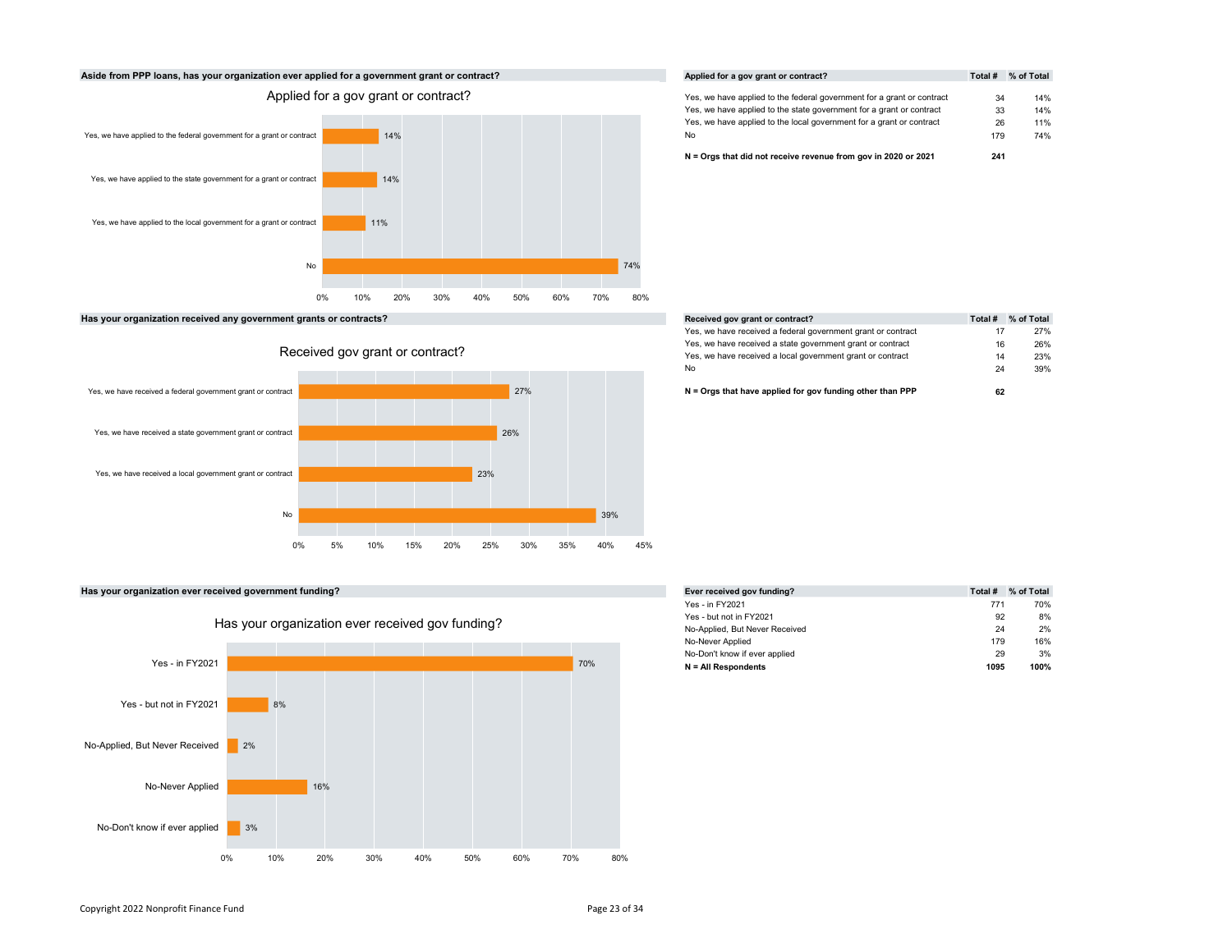

Has your organization received any government grants or contracts?





# Has your organization ever received government funding?



| Applied for a gov grant or contract?                                   | Total # | % of Total |
|------------------------------------------------------------------------|---------|------------|
| Yes, we have applied to the federal government for a grant or contract | 34      | 14%        |
| Yes, we have applied to the state government for a grant or contract   | 33      | 14%        |
| Yes, we have applied to the local government for a grant or contract   | 26      | 11%        |
| No                                                                     | 179     | 74%        |
| N = Oras that did not receive revenue from gov in 2020 or 2021         | 241     |            |

| Received gov grant or contract?                              | Total # | % of Total |
|--------------------------------------------------------------|---------|------------|
| Yes, we have received a federal government grant or contract | 17      | 27%        |
| Yes, we have received a state government grant or contract   | 16      | 26%        |
| Yes, we have received a local government grant or contract   | 14      | 23%        |
| No                                                           | 24      | 39%        |

|     | Ever received gov funding?     | Total # | % of Total |
|-----|--------------------------------|---------|------------|
|     | Yes - in FY2021                | 771     | 70%        |
|     | Yes - but not in FY2021        | 92      | 8%         |
|     | No-Applied, But Never Received | 24      | 2%         |
|     | No-Never Applied               | 179     | 16%        |
|     | No-Don't know if ever applied  | 29      | 3%         |
| 70% | $N = All Respondents$          | 1095    | 100%       |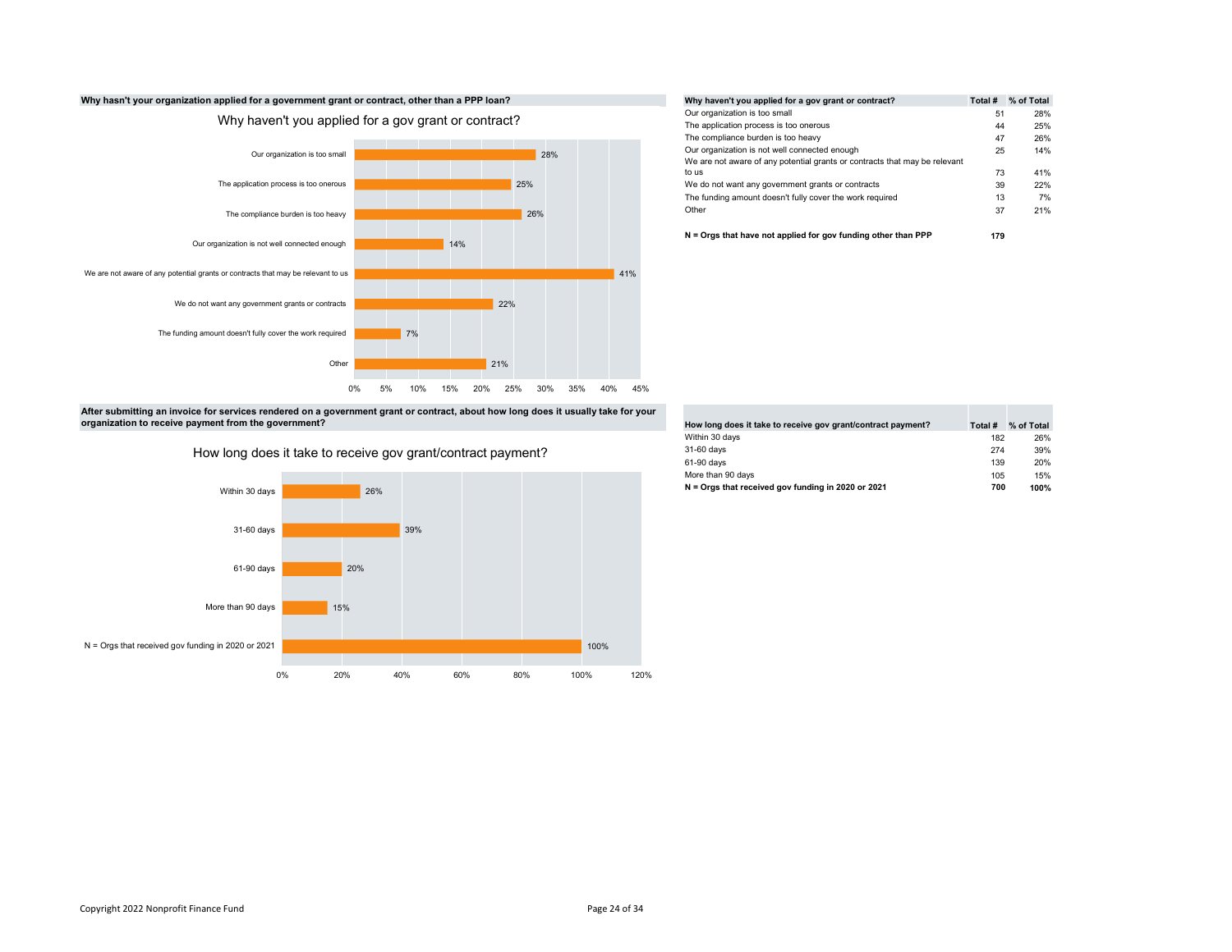

|     | Why haven't you applied for a gov grant or contract?                       | Total # | % of Total |
|-----|----------------------------------------------------------------------------|---------|------------|
|     | Our organization is too small                                              | 51      | 28%        |
|     | The application process is too onerous                                     | 44      | 25%        |
|     | The compliance burden is too heavy                                         | 47      | 26%        |
| 28% | Our organization is not well connected enough                              | 25      | 14%        |
|     | We are not aware of any potential grants or contracts that may be relevant |         |            |
|     | to us                                                                      | 73      | 41%        |
| 25% | We do not want any government grants or contracts                          | 39      | 22%        |
|     | The funding amount doesn't fully cover the work required                   | 13      | 7%         |
| 26% | Other                                                                      | 37      | 21%        |
|     | $N =$ Orgs that have not applied for gov funding other than PPP            | 179     |            |

After submitting an invoice for services rendered on a government grant or contract, about how long does it usually take for your organization to receive payment from the government?



How long does it take to receive gov grant/contract payment?

| How long does it take to receive gov grant/contract payment? | Total # | % of Total |
|--------------------------------------------------------------|---------|------------|
| Within 30 days                                               | 182     | 26%        |
| 31-60 days                                                   | 274     | 39%        |
| 61-90 days                                                   | 139     | 20%        |
| More than 90 days                                            | 105     | 15%        |
| N = Oras that received gov funding in 2020 or 2021           | 700     | 100%       |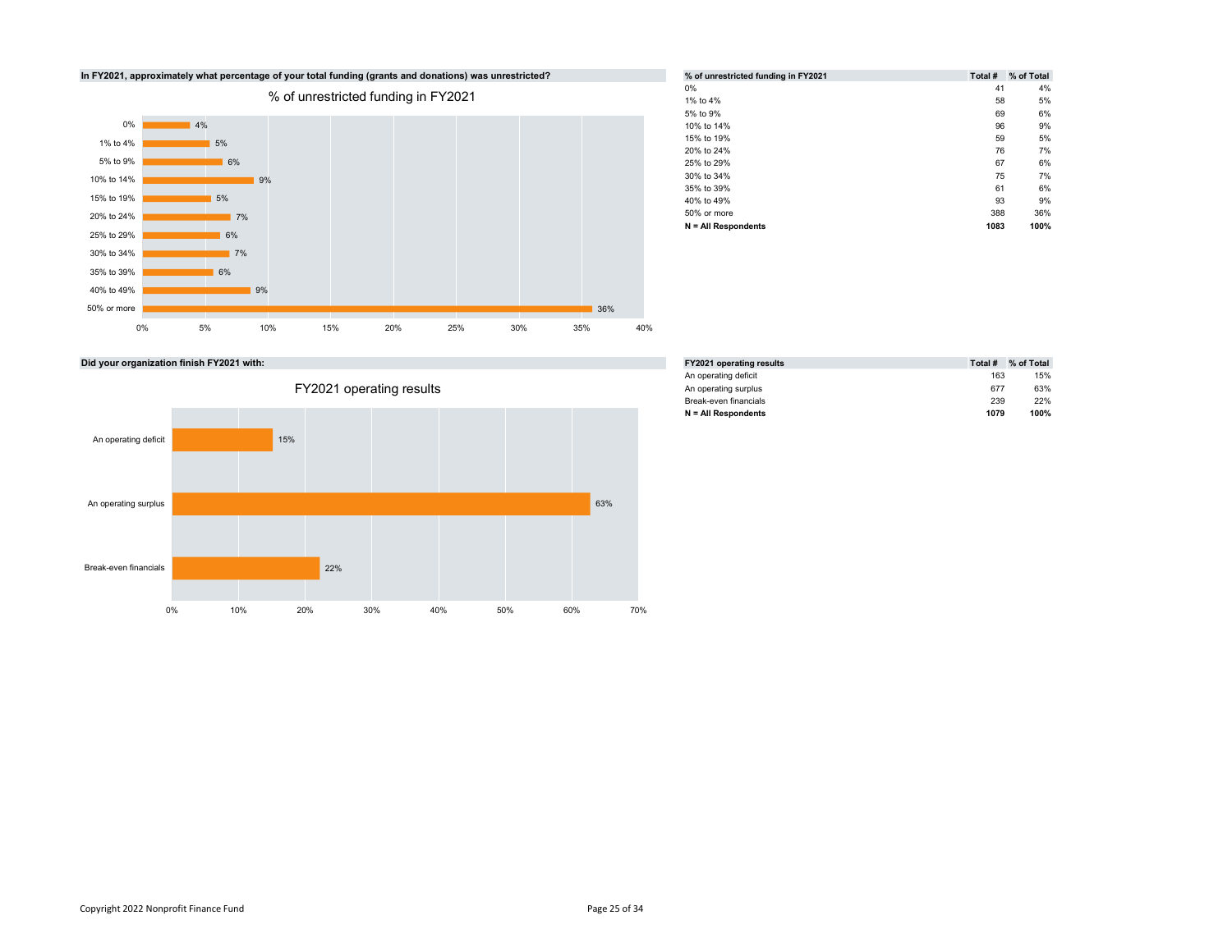

| % of unrestricted funding in FY2021 | Total # | % of Total |
|-------------------------------------|---------|------------|
| $0\%$                               | 41      | 4%         |
| 1% to 4%                            | 58      | 5%         |
| 5% to 9%                            | 69      | 6%         |
| 10% to 14%                          | 96      | 9%         |
| 15% to 19%                          | 59      | 5%         |
| 20% to 24%                          | 76      | 7%         |
| 25% to 29%                          | 67      | 6%         |
| 30% to 34%                          | 75      | 7%         |
| 35% to 39%                          | 61      | 6%         |
| 40% to 49%                          | 93      | 9%         |
| 50% or more                         | 388     | 36%        |
| $N = All Respondents$               | 1083    | 100%       |

Did your organization finish FY2021 with:



| <b>FY2021 operating results</b> | Total # | % of Total |
|---------------------------------|---------|------------|
| An operating deficit            | 163     | 15%        |
| An operating surplus            | 677     | 63%        |
| Break-even financials           | 239     | 22%        |
| $N = All Respondents$           | 1079    | 100%       |
|                                 |         |            |

# Copyright 2022 Nonprofit Finance Fund Page 25 of 34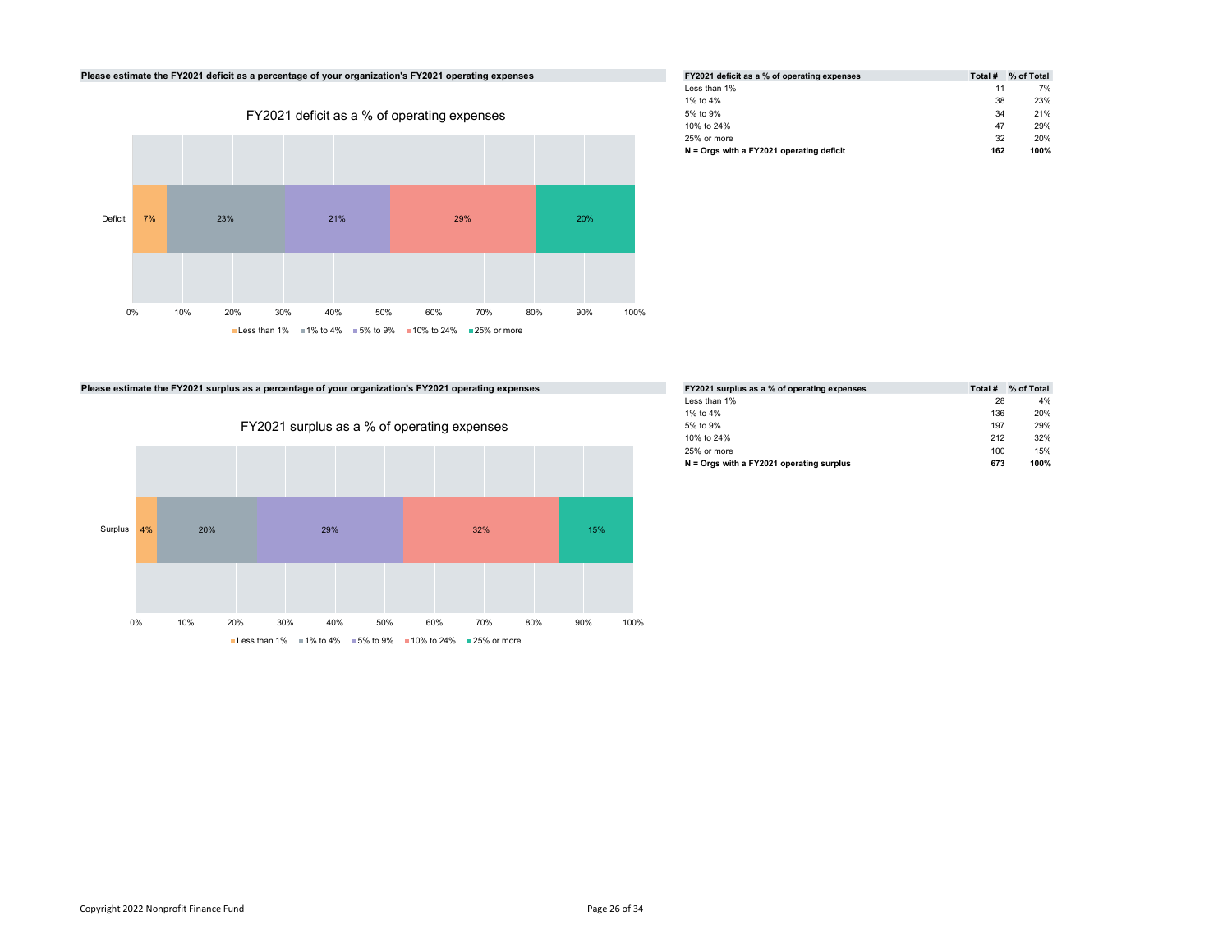

| FY2021 deficit as a % of operating expenses | Total # | % of Total |
|---------------------------------------------|---------|------------|
| Less than 1%                                | 11      | 7%         |
| 1% to 4%                                    | 38      | 23%        |
| 5% to 9%                                    | 34      | 21%        |
| 10% to 24%                                  | 47      | 29%        |
| 25% or more                                 | 32      | 20%        |
| $N =$ Orgs with a FY2021 operating deficit  | 162     | 100%       |

Please estimate the FY2021 surplus as a percentage of your organization's FY2021 operating expenses



| FY2021 surplus as a % of operating expenses | Total # | % of Total |
|---------------------------------------------|---------|------------|
| Less than 1%                                | 28      | 4%         |
| 1% to 4%                                    | 136     | 20%        |
| 5% to 9%                                    | 197     | 29%        |
| 10% to 24%                                  | 212     | 32%        |
| 25% or more                                 | 100     | 15%        |
| N = Orgs with a FY2021 operating surplus    | 673     | 100%       |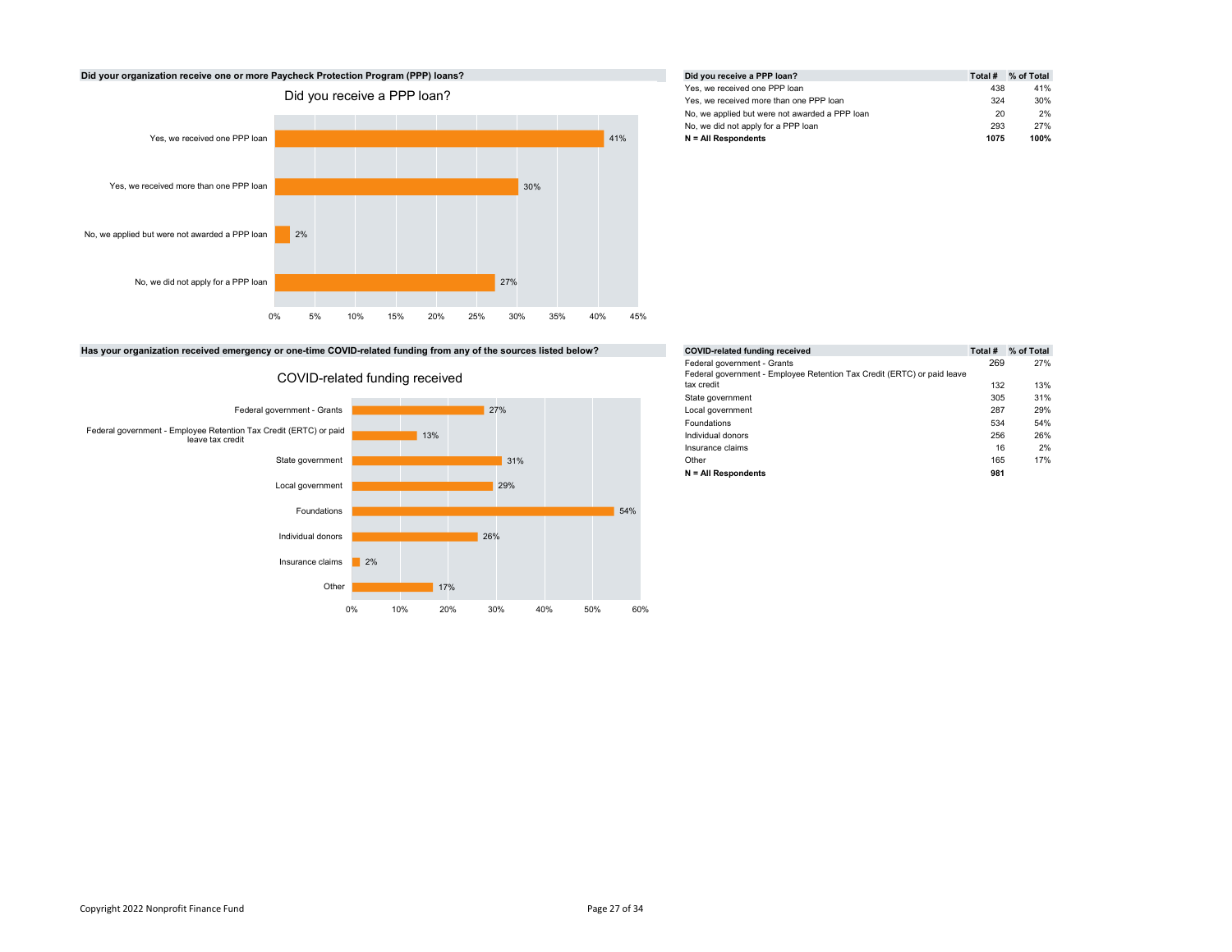

|     | Did you receive a PPP loan?                    | Total # | % of Total |
|-----|------------------------------------------------|---------|------------|
|     | Yes, we received one PPP loan                  | 438     | 41%        |
|     | Yes, we received more than one PPP loan        | 324     | 30%        |
|     | No, we applied but were not awarded a PPP loan | 20      | 2%         |
|     | No, we did not apply for a PPP loan            | 293     | 27%        |
| 41% | $N = All Respondents$                          | 1075    | 100%       |

Has your organization received emergency or one-time COVID-related funding from any of the sources listed below?



COVID-related funding received

| e sources listed below? | <b>COVID-related funding received</b>                                                                                | Total #    | % of Total |
|-------------------------|----------------------------------------------------------------------------------------------------------------------|------------|------------|
|                         | Federal government - Grants<br>Federal government - Employee Retention Tax Credit (ERTC) or paid leave<br>tax credit | 269        | 27%        |
|                         | State government                                                                                                     | 132<br>305 | 13%<br>31% |
| 27%                     | Local government                                                                                                     | 287        | 29%        |
|                         | Foundations                                                                                                          | 534        | 54%        |
|                         | Individual donors                                                                                                    | 256        | 26%        |
|                         | Insurance claims                                                                                                     | 16         | 2%         |
| 31%                     | Other                                                                                                                | 165        | 17%        |
|                         | $N = All Respondents$                                                                                                | 981        |            |
|                         |                                                                                                                      |            |            |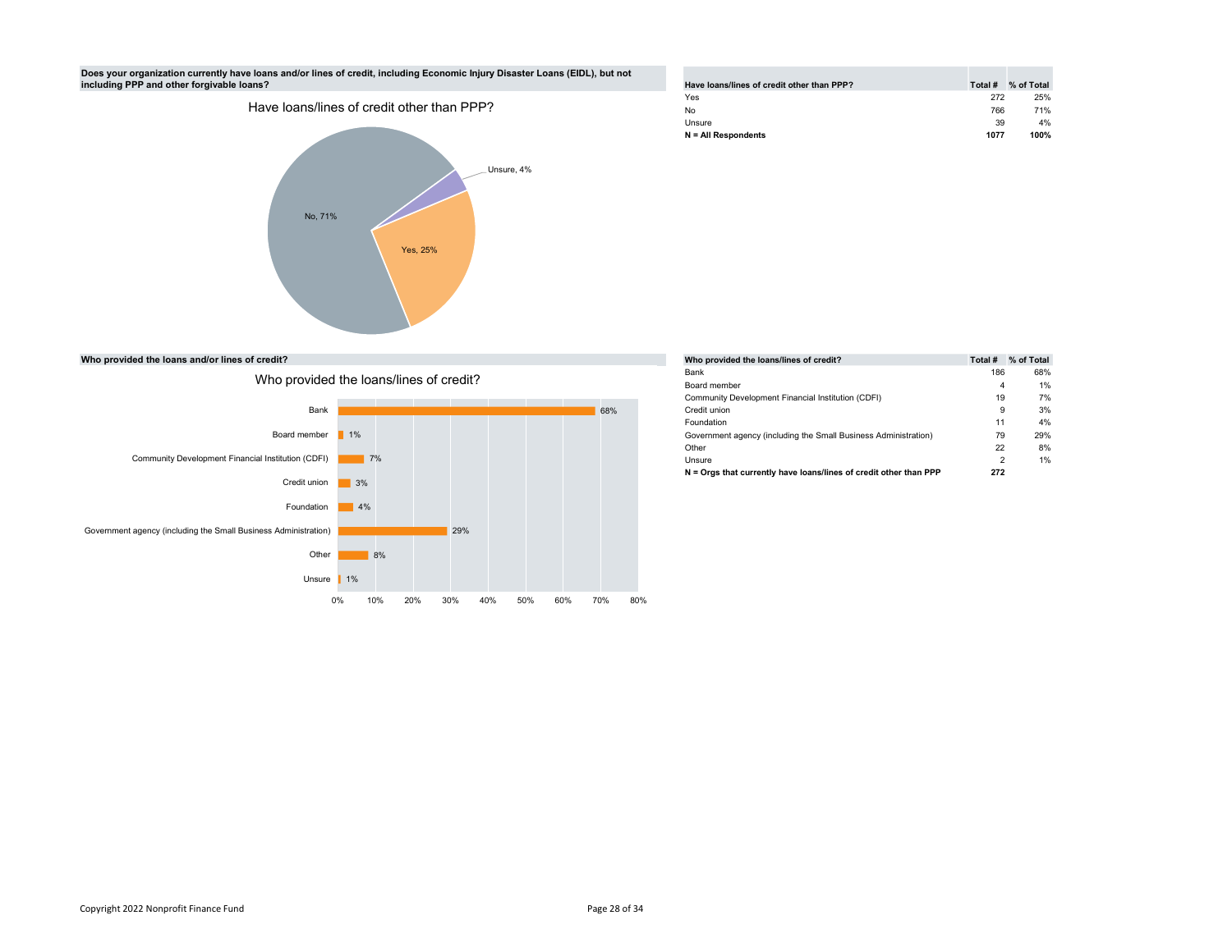### Does your organization currently have loans and/or lines of credit, including Economic Injury Disaster Loans (EIDL), but not including PPP and other forgivable loans?



| Have loans/lines of credit other than PPP? | Total # | % of Total |
|--------------------------------------------|---------|------------|
| Yes                                        | 272     | 25%        |
| No                                         | 766     | 71%        |
| Unsure                                     | 39      | 4%         |
| $N = All Respondents$                      | 1077    | 100%       |

Who provided the loans and/or lines of credit?



|     | Who provided the loans/lines of credit?                           | Total # | % of Total |
|-----|-------------------------------------------------------------------|---------|------------|
|     | Bank                                                              | 186     | 68%        |
|     | Board member                                                      | 4       | 1%         |
|     | Community Development Financial Institution (CDFI)                | 19      | 7%         |
| 68% | Credit union                                                      | 9       | 3%         |
|     | Foundation                                                        | 11      | 4%         |
|     | Government agency (including the Small Business Administration)   | 79      | 29%        |
|     | Other                                                             | 22      | 8%         |
|     | Unsure                                                            | 2       | 1%         |
|     | N = Orgs that currently have loans/lines of credit other than PPP | 272     |            |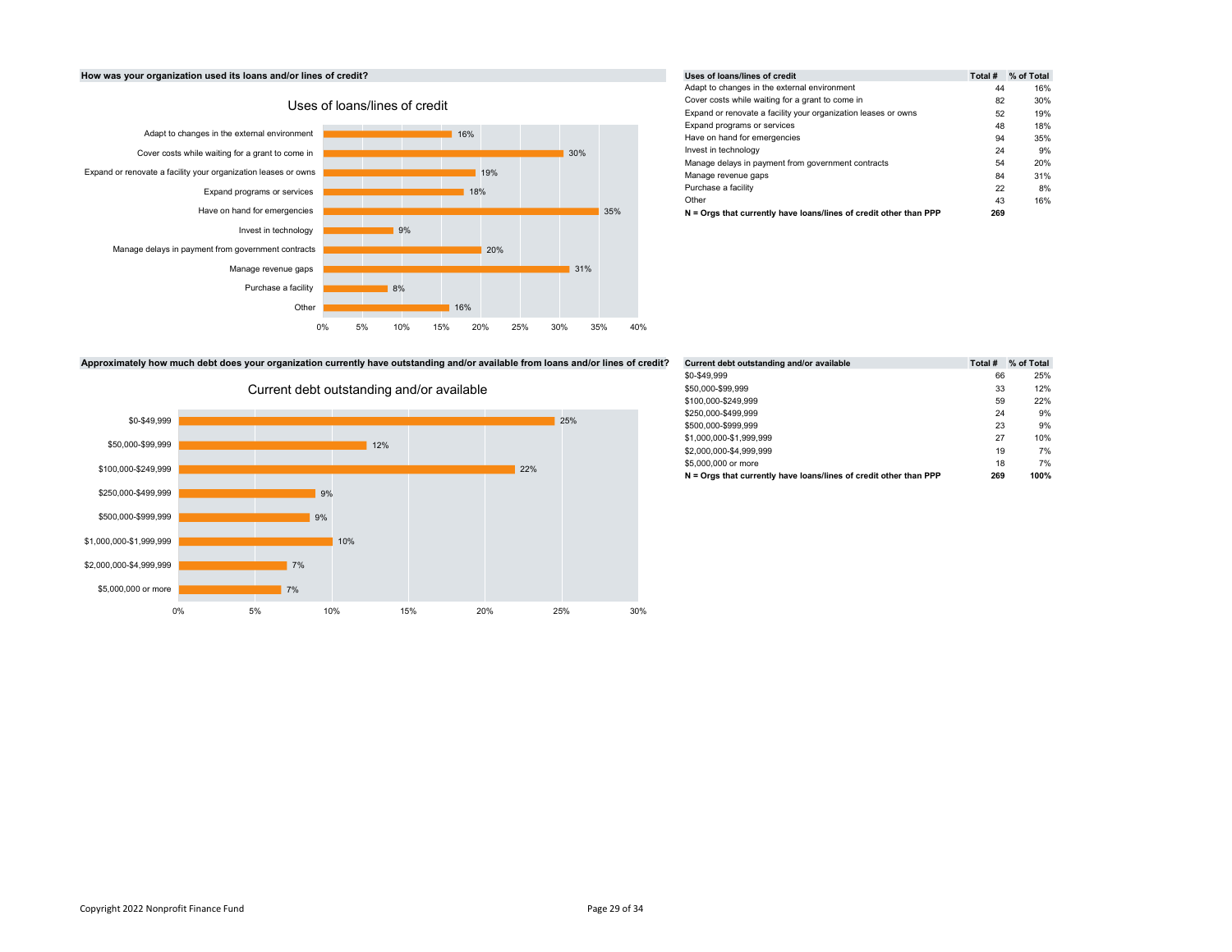# How was your organization used its loans and/or lines of credit?



|     |     |     | Uses of loans/lines of credit                                     | Total # | % of Total |
|-----|-----|-----|-------------------------------------------------------------------|---------|------------|
|     |     |     | Adapt to changes in the external environment                      | 44      | 16%        |
|     |     |     | Cover costs while waiting for a grant to come in                  | 82      | 30%        |
|     |     |     | Expand or renovate a facility your organization leases or owns    | 52      | 19%        |
|     |     |     | Expand programs or services                                       | 48      | 18%        |
| 16% |     |     | Have on hand for emergencies                                      | 94      | 35%        |
|     | 30% |     | Invest in technology                                              | 24      | 9%         |
|     |     |     | Manage delays in payment from government contracts                | 54      | 20%        |
| 19% |     |     | Manage revenue gaps                                               | 84      | 31%        |
| 18% |     |     | Purchase a facility                                               | 22      | 8%         |
|     |     |     | Other                                                             | 43      | 16%        |
|     |     | 35% | N = Orgs that currently have loans/lines of credit other than PPP | 269     |            |

Approximately how much debt does your organization currently have outstanding and/or available from loans and/or lines of credit?



| from loans and/or lines of credit? | Current debt outstanding and/or available                         | Total # | % of Total |  |
|------------------------------------|-------------------------------------------------------------------|---------|------------|--|
|                                    | \$0-\$49.999                                                      | 66      | 25%        |  |
|                                    | \$50,000-\$99.999                                                 | 33      | 12%        |  |
|                                    | \$100.000-\$249.999                                               | 59      | 22%        |  |
|                                    | \$250,000-\$499.999                                               | 24      | 9%         |  |
| 25%                                | \$500,000-\$999.999                                               | 23      | 9%         |  |
|                                    | \$1,000,000-\$1,999,999                                           | 27      | 10%        |  |
|                                    | \$2,000,000-\$4,999,999                                           | 19      | 7%         |  |
| 22%                                | \$5,000,000 or more                                               | 18      | 7%         |  |
|                                    | N = Orgs that currently have loans/lines of credit other than PPP | 269     | 100%       |  |
|                                    |                                                                   |         |            |  |

# Current debt outstanding and/or available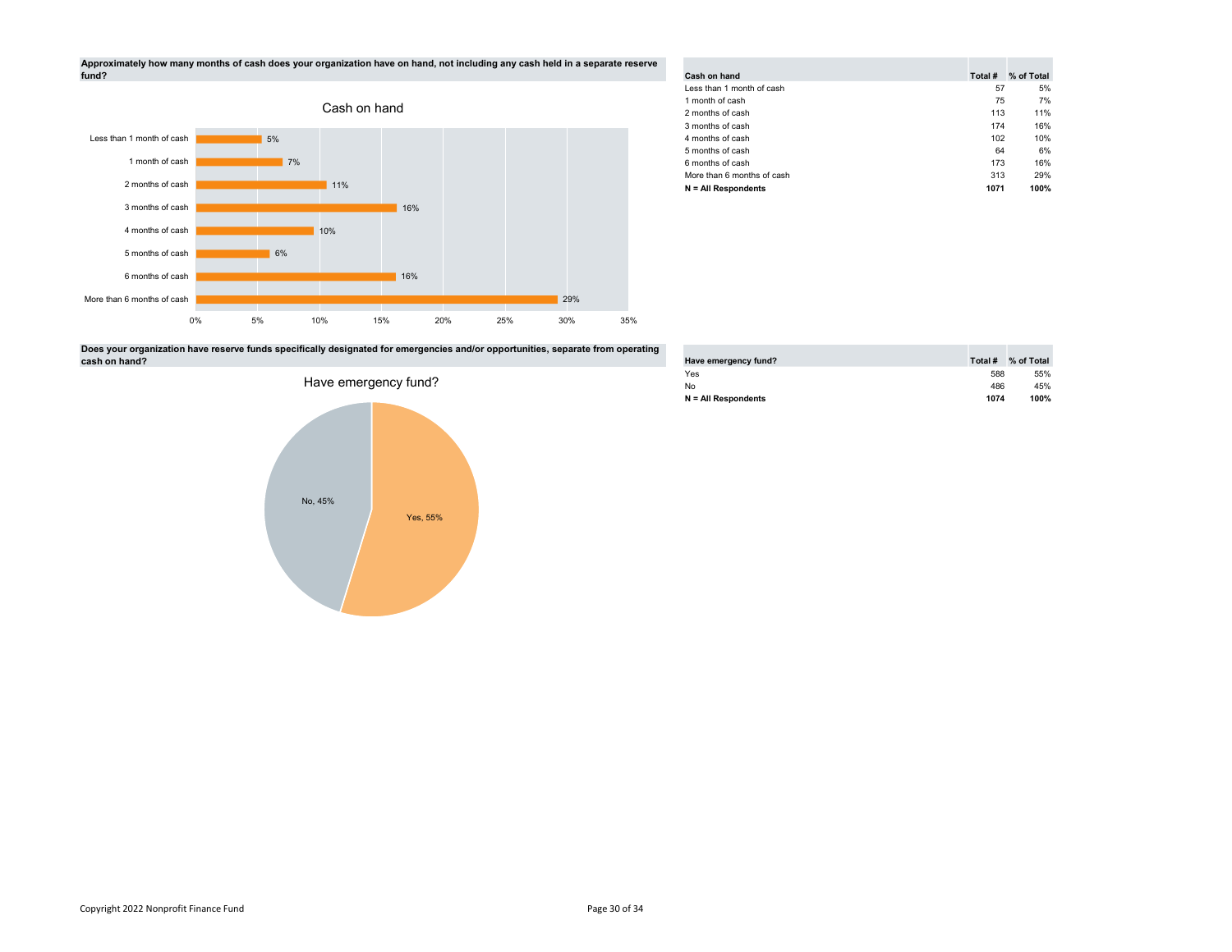



| Cash on hand<br>Less than 1 month of cash | Total #<br>57 | % of Total<br>5% |
|-------------------------------------------|---------------|------------------|
|                                           |               |                  |
|                                           |               |                  |
| 1 month of cash                           | 75            | 7%               |
| 2 months of cash                          | 113           | 11%              |
| 3 months of cash                          | 174           | 16%              |
| 4 months of cash                          | 102           | 10%              |
| 5 months of cash                          | 64            | 6%               |
| 6 months of cash                          | 173           | 16%              |
| More than 6 months of cash                | 313           | 29%              |
| $N = All Respondents$                     | 1071          | 100%             |

Does your organization have reserve funds specifically designated for emergencies and/or opportunities, separate from operating cash on hand?



| Have emergency fund?  | Total # | % of Total |
|-----------------------|---------|------------|
| Yes                   | 588     | 55%        |
| No                    | 486     | 45%        |
| $N = All Respondents$ | 1074    | 100%       |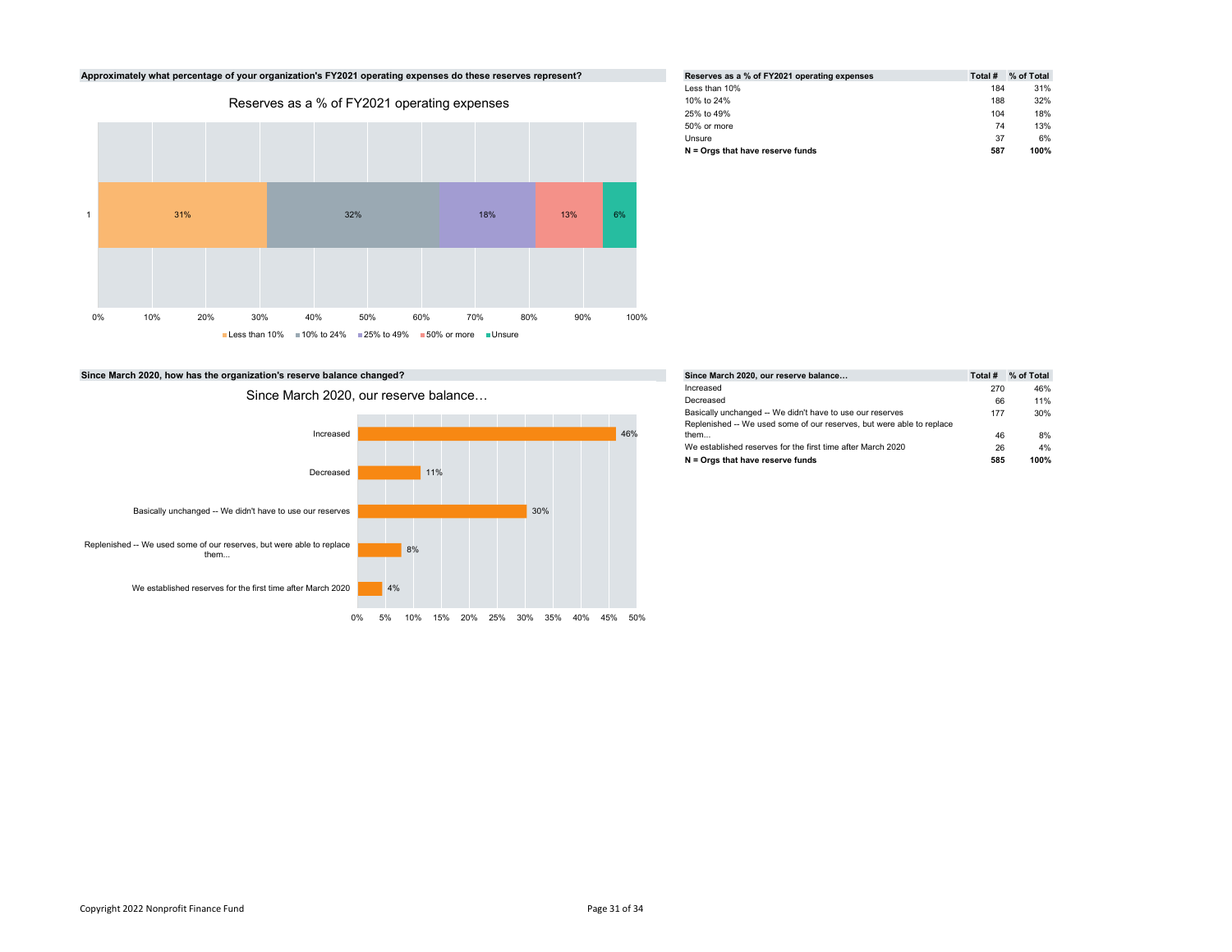

| Reserves as a % of FY2021 operating expenses | Total # | % of Total |
|----------------------------------------------|---------|------------|
| Less than 10%                                | 184     | 31%        |
| 10% to 24%                                   | 188     | 32%        |
| 25% to 49%                                   | 104     | 18%        |
| 50% or more                                  | 74      | 13%        |
| Unsure                                       | 37      | 6%         |
| $N =$ Orgs that have reserve funds           | 587     | 100%       |

|     | Since March 2020, our reserve balance                                 | Total # | % of Total |
|-----|-----------------------------------------------------------------------|---------|------------|
|     | Increased                                                             | 270     | 46%        |
|     | Decreased                                                             | 66      | 11%        |
|     | Basically unchanged -- We didn't have to use our reserves             | 177     | 30%        |
|     | Replenished -- We used some of our reserves, but were able to replace |         |            |
| 46% | them                                                                  | 46      | 8%         |
|     | We established reserves for the first time after March 2020           | 26      | 4%         |
|     | $N =$ Orgs that have reserve funds                                    | 585     | 100%       |
|     |                                                                       |         |            |

Since March 2020, how has the organization's reserve balance changed?

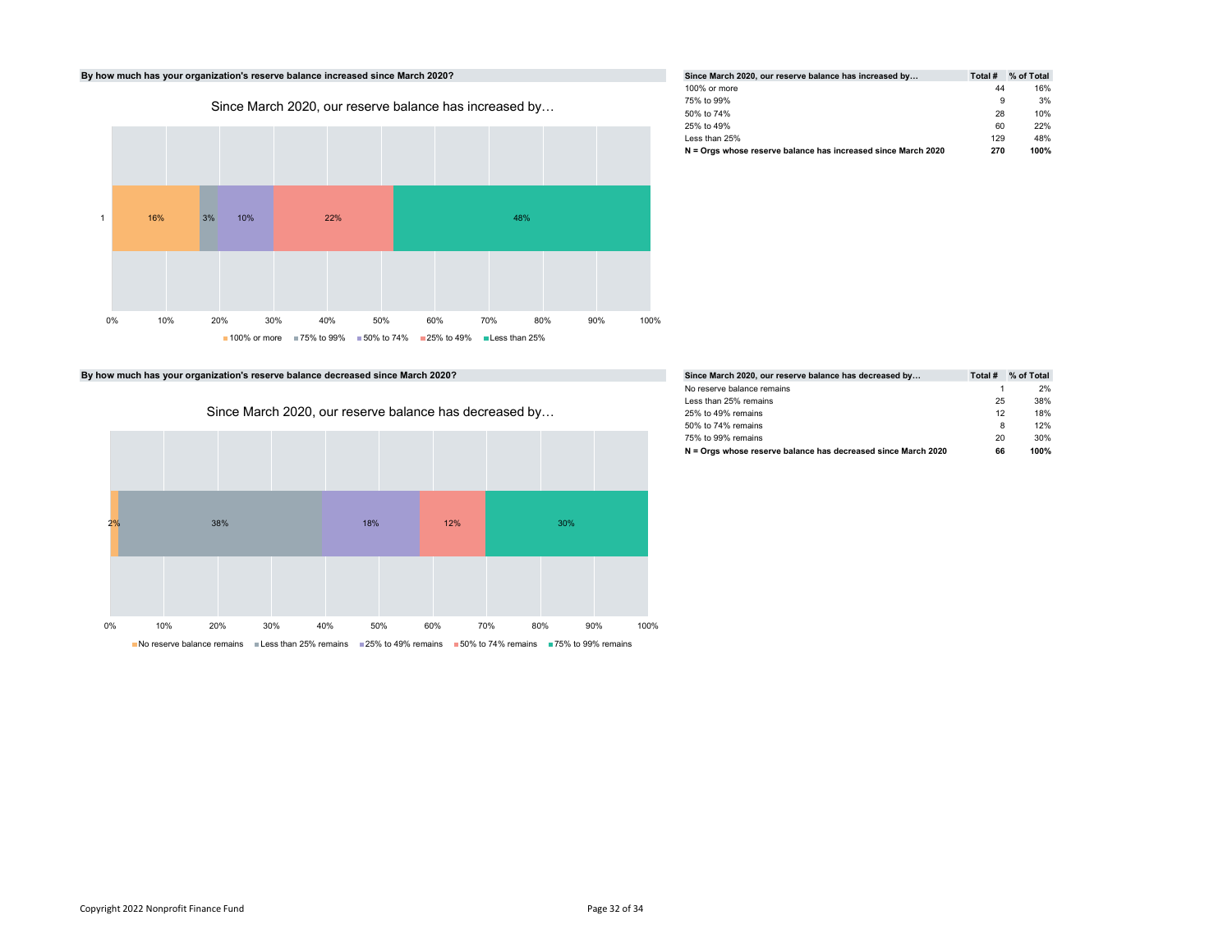# By how much has your organization's reserve balance increased since March 2020?



| Since March 2020, our reserve balance has increased by        | Total # | % of Total |
|---------------------------------------------------------------|---------|------------|
| 100% or more                                                  | 44      | 16%        |
| 75% to 99%                                                    | 9       | 3%         |
| 50% to 74%                                                    | 28      | 10%        |
| 25% to 49%                                                    | 60      | 22%        |
| Less than 25%                                                 | 129     | 48%        |
| N = Orgs whose reserve balance has increased since March 2020 | 270     | 100%       |

By how much has your organization's reserve balance decreased since March 2020?



| Since March 2020, our reserve balance has decreased by        | Total # | % of Total |
|---------------------------------------------------------------|---------|------------|
| No reserve balance remains                                    |         | 2%         |
| Less than 25% remains                                         | 25      | 38%        |
| 25% to 49% remains                                            | 12      | 18%        |
| 50% to 74% remains                                            | 8       | 12%        |
| 75% to 99% remains                                            | 20      | 30%        |
| N = Orgs whose reserve balance has decreased since March 2020 | 66      | 100%       |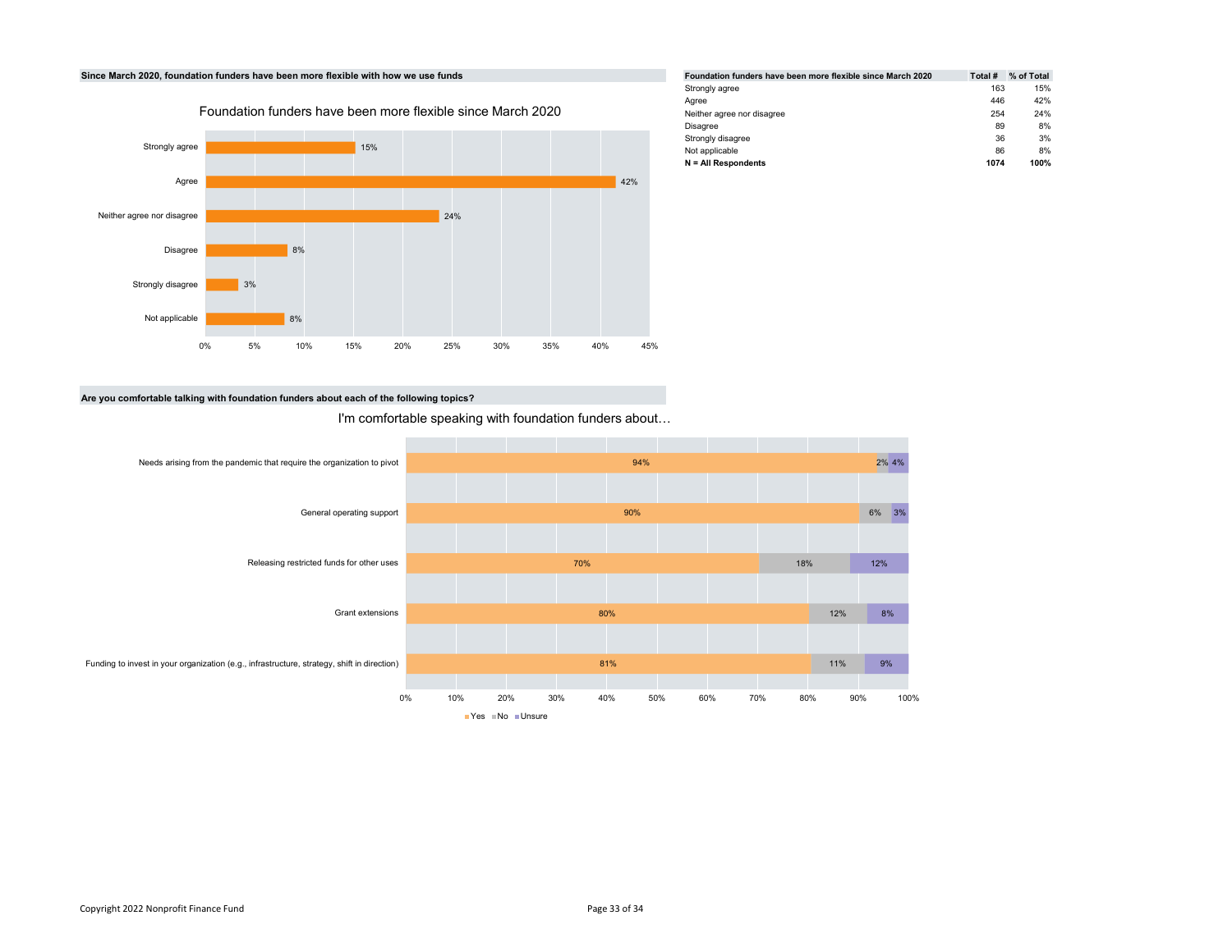

| Foundation funders have been more flexible since March 2020 | Total # | % of Total |
|-------------------------------------------------------------|---------|------------|
| Strongly agree                                              | 163     | 15%        |
| Aaree                                                       | 446     | 42%        |
| Neither agree nor disagree                                  | 254     | 24%        |
| Disagree                                                    | 89      | 8%         |
| Strongly disagree                                           | 36      | 3%         |
| Not applicable                                              | 86      | 8%         |
| $N = All Respondents$                                       | 1074    | 100%       |

# Are you comfortable talking with foundation funders about each of the following topics?